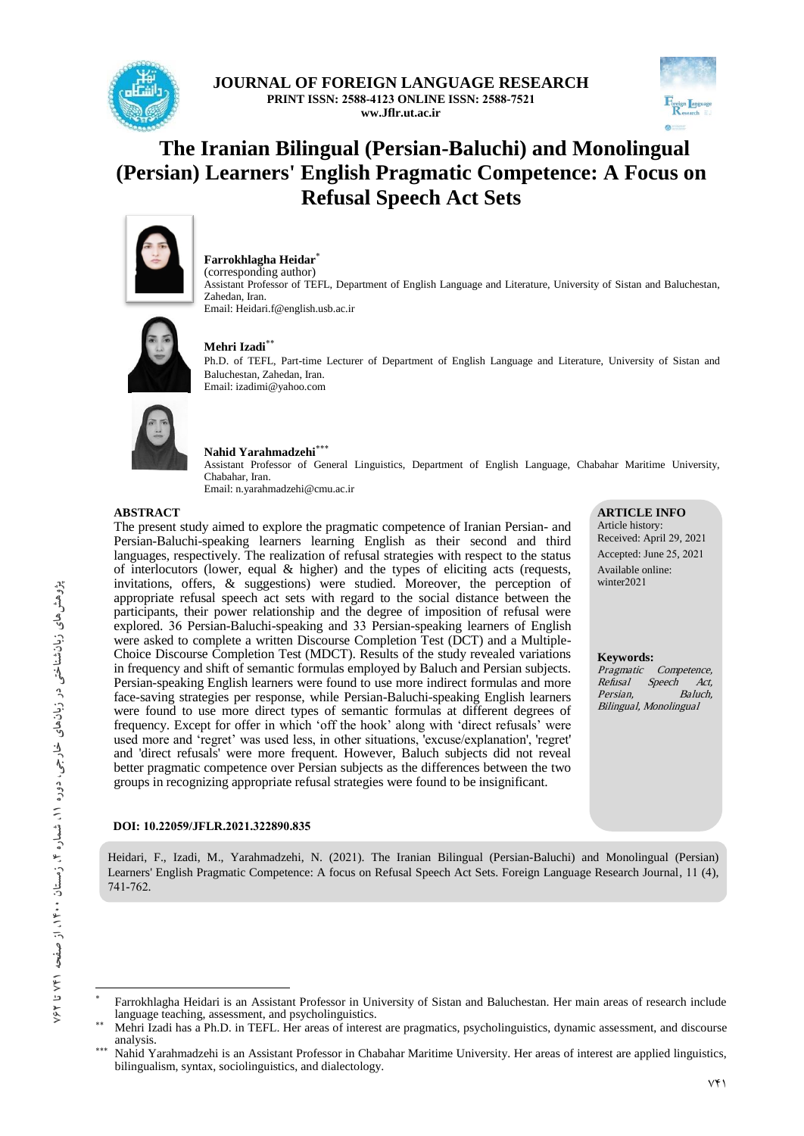

**JOURNAL OF FOREIGN LANGUAGE RESEARCH PRINT ISSN: 2588-4123 ONLINE ISSN: 2588-7521 ww.Jflr.ut.ac.ir**



# **The Iranian Bilingual (Persian-Baluchi) and Monolingual (Persian) Learners' English Pragmatic Competence: A Focus on Refusal Speech Act Sets**



**Farrokhlagha Heidar**

(corresponding author) Assistant Professor of TEFL, Department of English Language and Literature, University of Sistan and Baluchestan, Zahedan, Iran. Email: Heidari.f@english.usb.ac.ir



## **Mehri Izadi**

Ph.D. of TEFL, Part-time Lecturer of Department of English Language and Literature, University of Sistan and Baluchestan, Zahedan, Iran. Email: izadimi@yahoo.com



#### **Nahid Yarahmadzehi**

Assistant Professor of General Linguistics, Department of English Language, Chabahar Maritime University, Chabahar, Iran. Email: n.yarahmadzehi@cmu.ac.ir

#### **ABSTRACT**

The present study aimed to explore the pragmatic competence of Iranian Persian- and Persian-Baluchi-speaking learners learning English as their second and third languages, respectively. The realization of refusal strategies with respect to the status of interlocutors (lower, equal & higher) and the types of eliciting acts (requests, invitations, offers, & suggestions) were studied. Moreover, the perception of appropriate refusal speech act sets with regard to the social distance between the participants, their power relationship and the degree of imposition of refusal were explored. 36 Persian-Baluchi-speaking and 33 Persian-speaking learners of English were asked to complete a written Discourse Completion Test (DCT) and a Multiple-Choice Discourse Completion Test (MDCT). Results of the study revealed variations in frequency and shift of semantic formulas employed by Baluch and Persian subjects. Persian-speaking English learners were found to use more indirect formulas and more face-saving strategies per response, while Persian-Baluchi-speaking English learners were found to use more direct types of semantic formulas at different degrees of frequency. Except for offer in which 'off the hook' along with 'direct refusals' were used more and 'regret' was used less, in other situations, 'excuse/explanation', 'regret' and 'direct refusals' were more frequent. However, Baluch subjects did not reveal better pragmatic competence over Persian subjects as the differences between the two groups in recognizing appropriate refusal strategies were found to be insignificant.

#### **DOI: 10.22059/JFLR.2021.322890.835**

Heidari, F., Izadi, M., Yarahmadzehi, N. (2021). The Iranian Bilingual (Persian-Baluchi) and Monolingual (Persian) Learners' English Pragmatic Competence: A focus on Refusal Speech Act Sets. Foreign Language Research Journal, 11 (4), 741-762.

**ARTICLE INFO** Article history: Received: April 29, 2021 Accepted: June 25, 2021 Available online: winter2021

**Keywords:** Competence, Refusal Speech Act, Persian, Baluch, Bilingual, Monolingual

 $\overline{\phantom{a}}$ 

<sup>\*</sup> Farrokhlagha Heidari is an Assistant Professor in University of Sistan and Baluchestan. Her main areas of research include language teaching, assessment, and psycholinguistics.

Mehri Izadi has a Ph.D. in TEFL. Her areas of interest are pragmatics, psycholinguistics, dynamic assessment, and discourse analysis.

Nahid Yarahmadzehi is an Assistant Professor in Chabahar Maritime University. Her areas of interest are applied linguistics, bilingualism, syntax, sociolinguistics, and dialectology.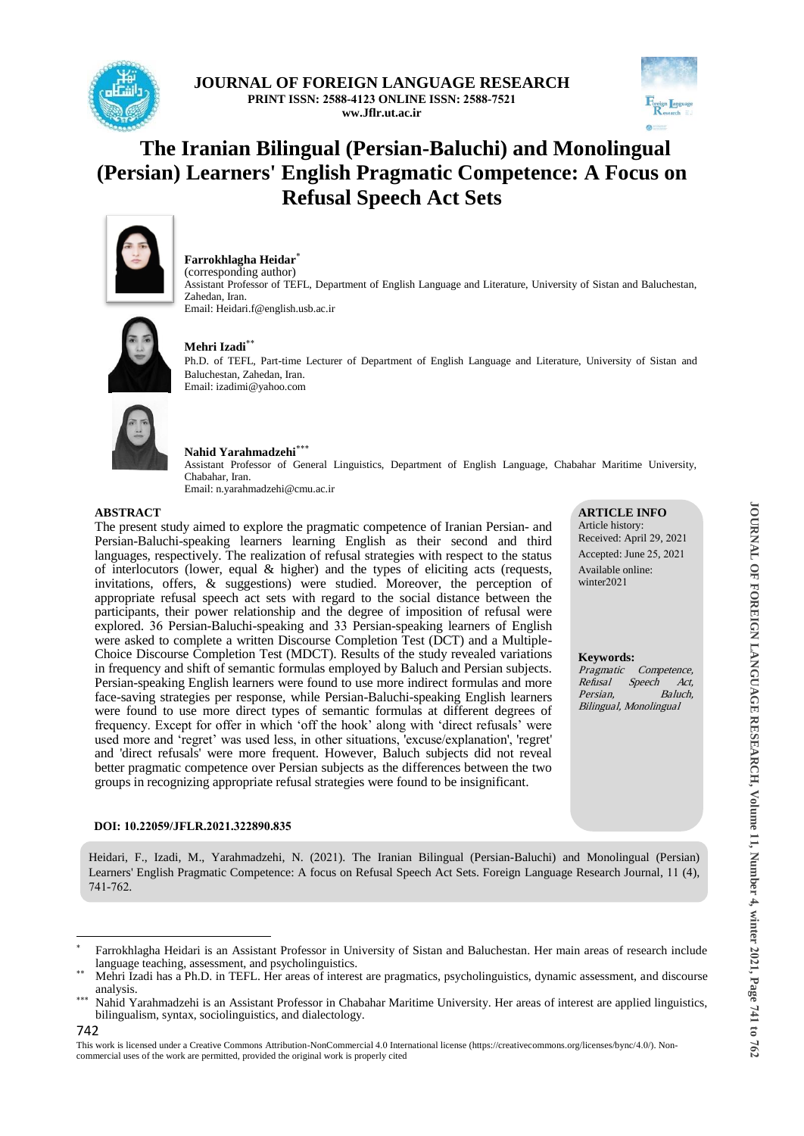

**JOURNAL OF FOREIGN LANGUAGE RESEARCH PRINT ISSN: 2588-4123 ONLINE ISSN: 2588-7521 ww.Jflr.ut.ac.ir**



**ARTICLE INFO** Article history: Received: April 29, 2021 Accepted: June 25, 2021 Available online: winter2021

**Keywords:**

Persian,

Competence,

Refusal Speech Act,<br>Persian Baluch

Bilingual, Monolingual

# **The Iranian Bilingual (Persian-Baluchi) and Monolingual (Persian) Learners' English Pragmatic Competence: A Focus on Refusal Speech Act Sets**



**Farrokhlagha Heidar**

(corresponding author) Assistant Professor of TEFL, Department of English Language and Literature, University of Sistan and Baluchestan, Zahedan, Iran. Email: Heidari.f@english.usb.ac.ir



## **Mehri Izadi**

Ph.D. of TEFL, Part-time Lecturer of Department of English Language and Literature, University of Sistan and Baluchestan, Zahedan, Iran. Email: izadimi@yahoo.com



#### **Nahid Yarahmadzehi**

Assistant Professor of General Linguistics, Department of English Language, Chabahar Maritime University, Chabahar, Iran. Email: n.yarahmadzehi@cmu.ac.ir

#### **ABSTRACT**

The present study aimed to explore the pragmatic competence of Iranian Persian- and Persian-Baluchi-speaking learners learning English as their second and third languages, respectively. The realization of refusal strategies with respect to the status of interlocutors (lower, equal  $\&$  higher) and the types of eliciting acts (requests, invitations, offers, & suggestions) were studied. Moreover, the perception of appropriate refusal speech act sets with regard to the social distance between the participants, their power relationship and the degree of imposition of refusal were explored. 36 Persian-Baluchi-speaking and 33 Persian-speaking learners of English were asked to complete a written Discourse Completion Test (DCT) and a Multiple-Choice Discourse Completion Test (MDCT). Results of the study revealed variations in frequency and shift of semantic formulas employed by Baluch and Persian subjects. Persian-speaking English learners were found to use more indirect formulas and more face-saving strategies per response, while Persian-Baluchi-speaking English learners were found to use more direct types of semantic formulas at different degrees of frequency. Except for offer in which 'off the hook' along with 'direct refusals' were used more and 'regret' was used less, in other situations, 'excuse/explanation', 'regret' and 'direct refusals' were more frequent. However, Baluch subjects did not reveal better pragmatic competence over Persian subjects as the differences between the two groups in recognizing appropriate refusal strategies were found to be insignificant.

#### **DOI: 10.22059/JFLR.2021.322890.835**

Heidari, F., Izadi, M., Yarahmadzehi, N. (2021). The Iranian Bilingual (Persian-Baluchi) and Monolingual (Persian) Learners' English Pragmatic Competence: A focus on Refusal Speech Act Sets. Foreign Language Research Journal, 11 (4), 741-762.

742

**.** 

**JOURNAL OF FOREIGN LANGUAGE RESEARCH, Volume 11, Number 4, winter 2021, Page 741 JOURNAL OF FOREIGN LANGUAGE RESEARCH, Volume 11, Number 4, winter 2021, Page 741 to 763** 

<sup>\*</sup> Farrokhlagha Heidari is an Assistant Professor in University of Sistan and Baluchestan. Her main areas of research include language teaching, assessment, and psycholinguistics.

Mehri Izadi has a Ph.D. in TEFL. Her areas of interest are pragmatics, psycholinguistics, dynamic assessment, and discourse analysis.

Nahid Yarahmadzehi is an Assistant Professor in Chabahar Maritime University. Her areas of interest are applied linguistics, bilingualism, syntax, sociolinguistics, and dialectology.

This work is licensed under a Creative Commons Attribution-NonCommercial 4.0 International license (https://creativecommons.org/licenses/bync/4.0/). Noncommercial uses of the work are permitted, provided the original work is properly cited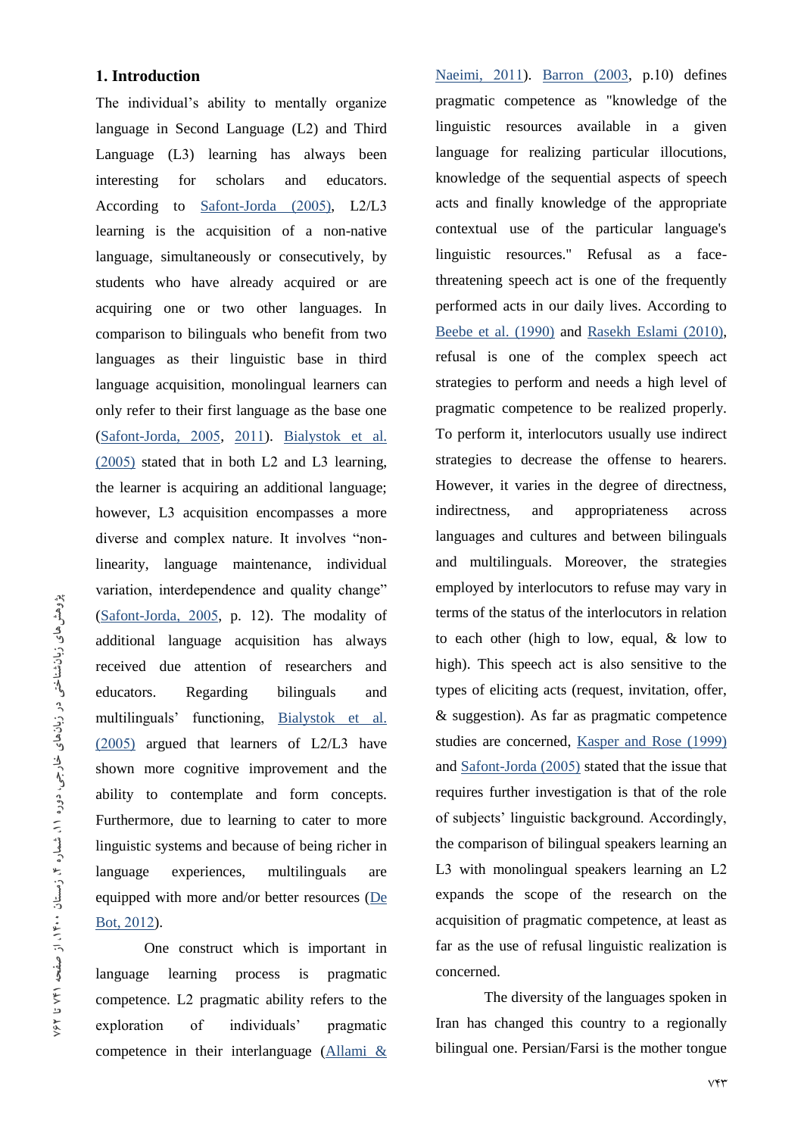# **1. Introduction**

The individual's ability to mentally organize language in Second Language (L2) and Third Language (L3) learning has always been interesting for scholars and educators. According to Safont-Jorda (2005), L2/L3 learning is the acquisition of a non-native language, simultaneously or consecutively, by students who have already acquired or are acquiring one or two other languages. In comparison to bilinguals who benefit from two languages as their linguistic base in third language acquisition, monolingual learners can only refer to their first language as the base one (Safont-Jorda, 2005, 2011). Bialystok et al. (2005) stated that in both L2 and L3 learning, the learner is acquiring an additional language; however, L3 acquisition encompasses a more diverse and complex nature. It involves "nonlinearity, language maintenance, individual variation, interdependence and quality change" (Safont-Jorda, 2005, p. 12). The modality of additional language acquisition has always received due attention of researchers and educators. Regarding bilinguals and multilinguals' functioning, Bialystok et al. (2005) argued that learners of L2/L3 have shown more cognitive improvement and the ability to contemplate and form concepts. Furthermore, due to learning to cater to more linguistic systems and because of being richer in language experiences, multilinguals are equipped with more and/or better resources (De Bot, 2012).

One construct which is important in language learning process is pragmatic competence. L2 pragmatic ability refers to the exploration of individuals' pragmatic competence in their interlanguage  $(Allami & \&$ 

Naeimi, 2011). Barron (2003, p.10) defines pragmatic competence as "knowledge of the linguistic resources available in a given language for realizing particular illocutions, knowledge of the sequential aspects of speech acts and finally knowledge of the appropriate contextual use of the particular language's linguistic resources." Refusal as a facethreatening speech act is one of the frequently performed acts in our daily lives. According to Beebe et al. (1990) and Rasekh Eslami (2010), refusal is one of the complex speech act strategies to perform and needs a high level of pragmatic competence to be realized properly. To perform it, interlocutors usually use indirect strategies to decrease the offense to hearers. However, it varies in the degree of directness, indirectness, and appropriateness across languages and cultures and between bilinguals and multilinguals. Moreover, the strategies employed by interlocutors to refuse may vary in terms of the status of the interlocutors in relation to each other (high to low, equal, & low to high). This speech act is also sensitive to the types of eliciting acts (request, invitation, offer, & suggestion). As far as pragmatic competence studies are concerned, Kasper and Rose (1999) and Safont-Jorda (2005) stated that the issue that requires further investigation is that of the role of subjects' linguistic background. Accordingly, the comparison of bilingual speakers learning an L3 with monolingual speakers learning an L2 expands the scope of the research on the acquisition of pragmatic competence, at least as far as the use of refusal linguistic realization is concerned.

The diversity of the languages spoken in Iran has changed this country to a regionally bilingual one. Persian/Farsi is the mother tongue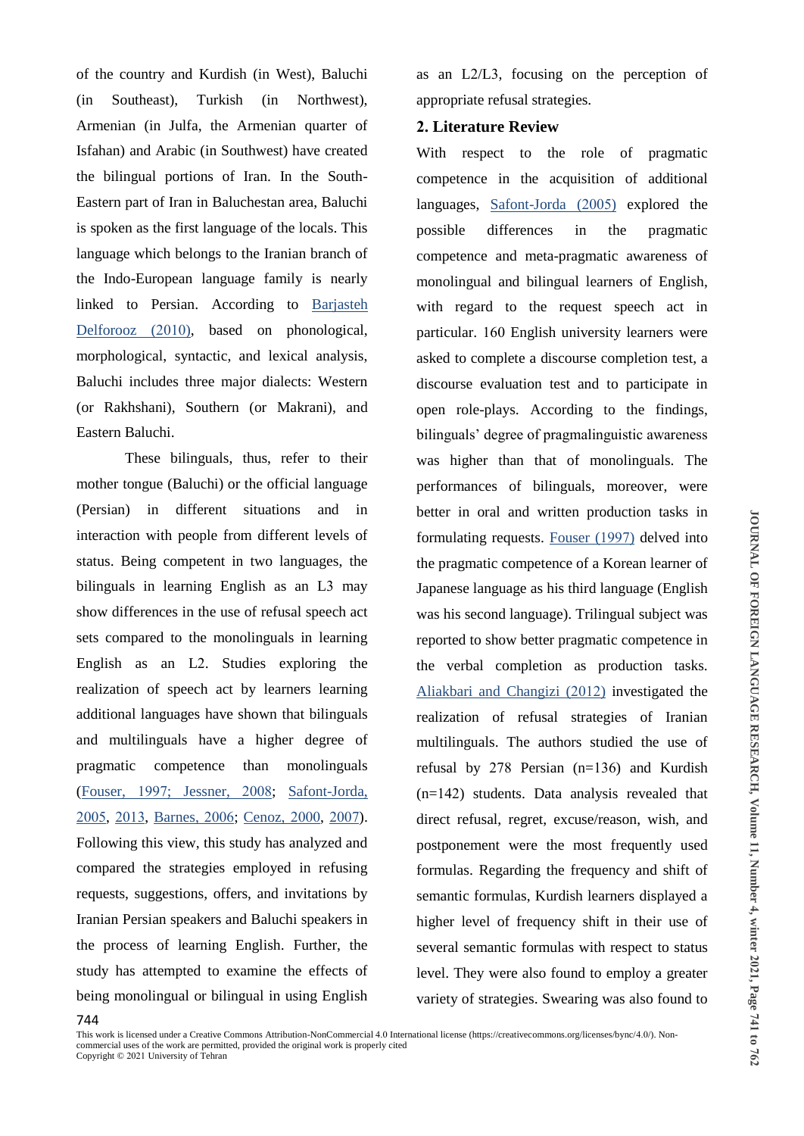of the country and Kurdish (in West), Baluchi (in Southeast), Turkish (in Northwest), Armenian (in Julfa, the Armenian quarter of Isfahan) and Arabic (in Southwest) have created the bilingual portions of Iran. In the South-Eastern part of Iran in Baluchestan area, Baluchi is spoken as the first language of the locals. This language which belongs to the Iranian branch of the Indo-European language family is nearly linked to Persian. According to Barjasteh Delforooz (2010), based on phonological, morphological, syntactic, and lexical analysis, Baluchi includes three major dialects: Western (or Rakhshani), Southern (or Makrani), and Eastern Baluchi.

These bilinguals, thus, refer to their mother tongue (Baluchi) or the official language (Persian) in different situations and in interaction with people from different levels of status. Being competent in two languages, the bilinguals in learning English as an L3 may show differences in the use of refusal speech act sets compared to the monolinguals in learning English as an L2. Studies exploring the realization of speech act by learners learning additional languages have shown that bilinguals and multilinguals have a higher degree of pragmatic competence than monolinguals (Fouser, 1997; Jessner, 2008; Safont-Jorda, 2005, 2013, Barnes, 2006; Cenoz, 2000, 2007). Following this view, this study has analyzed and compared the strategies employed in refusing requests, suggestions, offers, and invitations by Iranian Persian speakers and Baluchi speakers in the process of learning English. Further, the study has attempted to examine the effects of being monolingual or bilingual in using English

as an L2/L3, focusing on the perception of appropriate refusal strategies.

# **2. Literature Review**

With respect to the role of pragmatic competence in the acquisition of additional languages, Safont-Jorda (2005) explored the possible differences in the pragmatic competence and meta-pragmatic awareness of monolingual and bilingual learners of English, with regard to the request speech act in particular. 160 English university learners were asked to complete a discourse completion test, a discourse evaluation test and to participate in open role-plays. According to the findings, bilinguals' degree of pragmalinguistic awareness was higher than that of monolinguals. The performances of bilinguals, moreover, were better in oral and written production tasks in formulating requests. Fouser (1997) delved into the pragmatic competence of a Korean learner of Japanese language as his third language (English was his second language). Trilingual subject was reported to show better pragmatic competence in the verbal completion as production tasks. Aliakbari and Changizi (2012) investigated the realization of refusal strategies of Iranian multilinguals. The authors studied the use of refusal by 278 Persian (n=136) and Kurdish (n=142) students. Data analysis revealed that direct refusal, regret, excuse/reason, wish, and postponement were the most frequently used formulas. Regarding the frequency and shift of semantic formulas, Kurdish learners displayed a higher level of frequency shift in their use of several semantic formulas with respect to status level. They were also found to employ a greater variety of strategies. Swearing was also found to

This work is licensed under a Creative Commons Attribution-NonCommercial 4.0 International license (https://creativecommons.org/licenses/bync/4.0/). Noncommercial uses of the work are permitted, provided the original work is properly cited Copyright © 2021 University of Tehran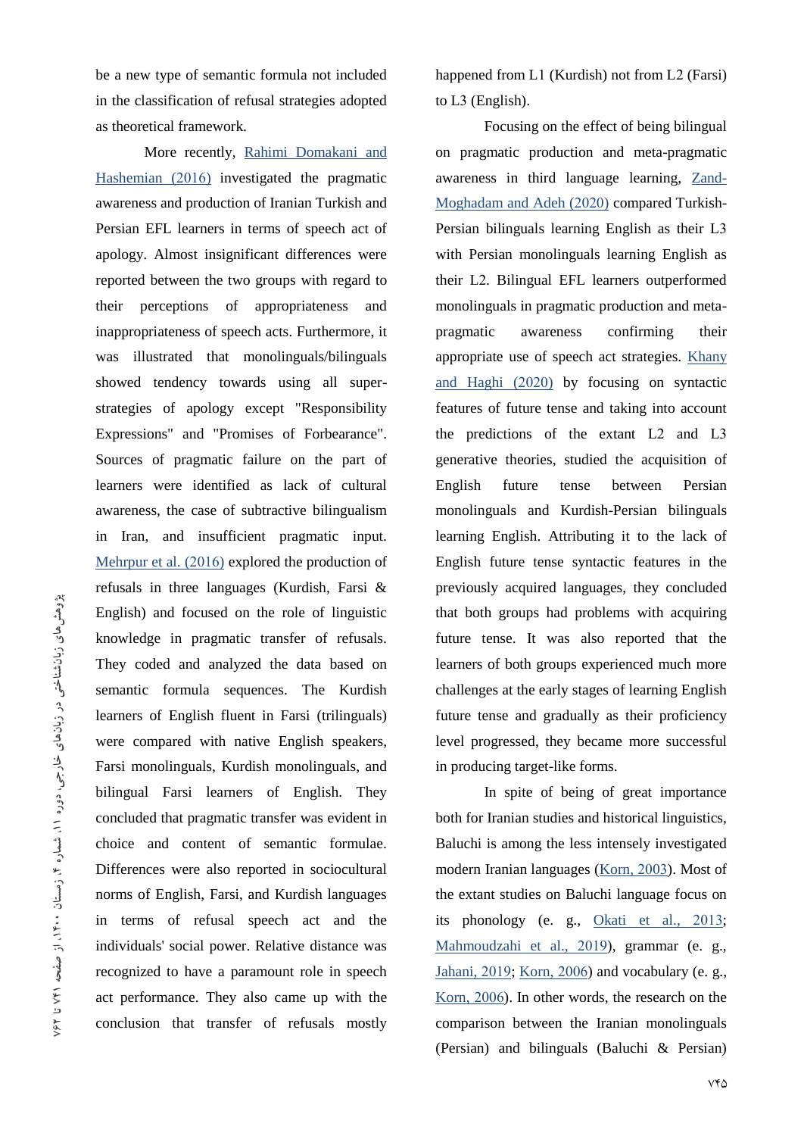be a new type of semantic formula not included in the classification of refusal strategies adopted as theoretical framework.

More recently, Rahimi Domakani and Hashemian (2016) investigated the pragmatic awareness and production of Iranian Turkish and Persian EFL learners in terms of speech act of apology. Almost insignificant differences were reported between the two groups with regard to their perceptions of appropriateness and inappropriateness of speech acts. Furthermore, it was illustrated that monolinguals/bilinguals showed tendency towards using all superstrategies of apology except "Responsibility Expressions" and "Promises of Forbearance". Sources of pragmatic failure on the part of learners were identified as lack of cultural awareness, the case of subtractive bilingualism in Iran, and insufficient pragmatic input. Mehrpur et al. (2016) explored the production of refusals in three languages (Kurdish, Farsi & English) and focused on the role of linguistic knowledge in pragmatic transfer of refusals. They coded and analyzed the data based on semantic formula sequences. The Kurdish learners of English fluent in Farsi (trilinguals) were compared with native English speakers, Farsi monolinguals, Kurdish monolinguals, and bilingual Farsi learners of English. They concluded that pragmatic transfer was evident in choice and content of semantic formulae. Differences were also reported in sociocultural norms of English, Farsi, and Kurdish languages in terms of refusal speech act and the individuals' social power. Relative distance was recognized to have a paramount role in speech act performance. They also came up with the conclusion that transfer of refusals mostly

happened from L1 (Kurdish) not from L2 (Farsi) to L3 (English).

Focusing on the effect of being bilingual on pragmatic production and meta-pragmatic awareness in third language learning, Zand-Moghadam and Adeh (2020) compared Turkish-Persian bilinguals learning English as their L3 with Persian monolinguals learning English as their L2. Bilingual EFL learners outperformed monolinguals in pragmatic production and metapragmatic awareness confirming their appropriate use of speech act strategies. Khany and Haghi (2020) by focusing on syntactic features of future tense and taking into account the predictions of the extant L2 and L3 generative theories, studied the acquisition of English future tense between Persian monolinguals and Kurdish-Persian bilinguals learning English. Attributing it to the lack of English future tense syntactic features in the previously acquired languages, they concluded that both groups had problems with acquiring future tense. It was also reported that the learners of both groups experienced much more challenges at the early stages of learning English future tense and gradually as their proficiency level progressed, they became more successful in producing target-like forms.

In spite of being of great importance both for Iranian studies and historical linguistics, Baluchi is among the less intensely investigated modern Iranian languages (Korn, 2003). Most of the extant studies on Baluchi language focus on its phonology (e. g., Okati et al., 2013; Mahmoudzahi et al., 2019), grammar (e. g., Jahani, 2019; Korn, 2006) and vocabulary (e. g., Korn, 2006). In other words, the research on the comparison between the Iranian monolinguals (Persian) and bilinguals (Baluchi & Persian)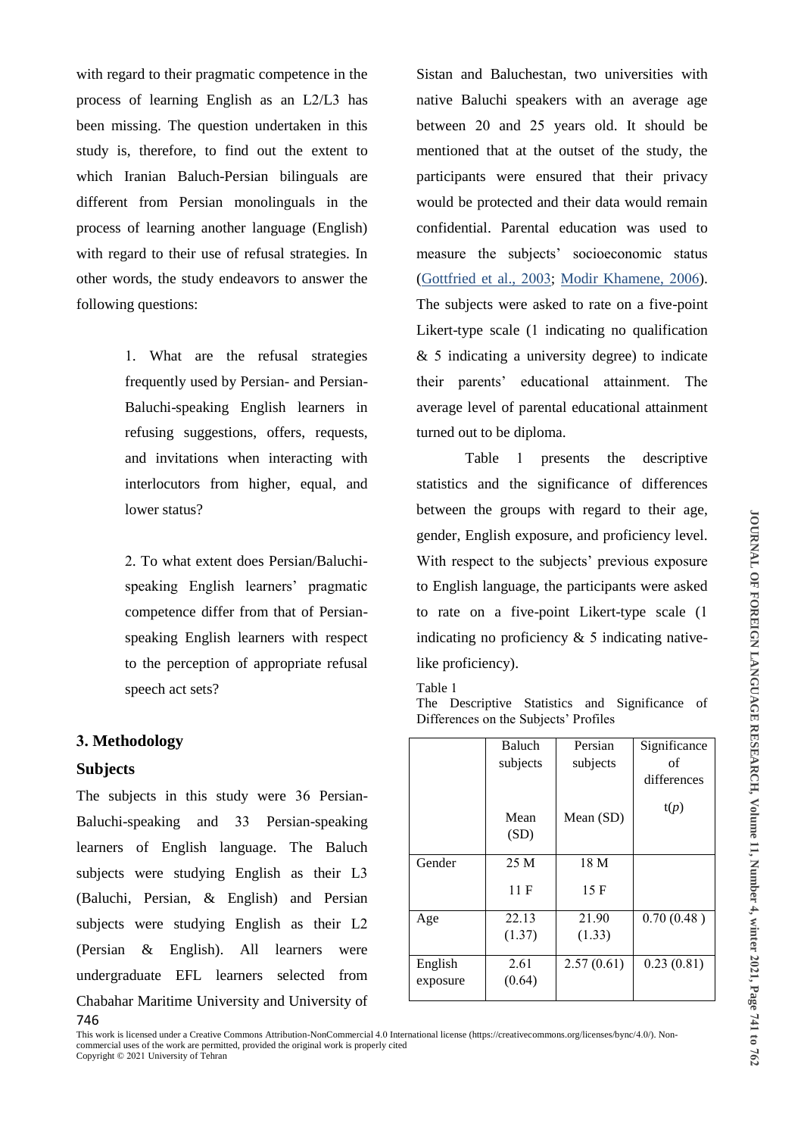with regard to their pragmatic competence in the process of learning English as an L2/L3 has been missing. The question undertaken in this study is, therefore, to find out the extent to which Iranian Baluch-Persian bilinguals are different from Persian monolinguals in the process of learning another language (English) with regard to their use of refusal strategies. In other words, the study endeavors to answer the following questions:

> 1. What are the refusal strategies frequently used by Persian- and Persian-Baluchi-speaking English learners in refusing suggestions, offers, requests, and invitations when interacting with interlocutors from higher, equal, and lower status?

> 2. To what extent does Persian/Baluchispeaking English learners' pragmatic competence differ from that of Persianspeaking English learners with respect to the perception of appropriate refusal speech act sets?

#### **3. Methodology**

## **Subjects**

746 The subjects in this study were 36 Persian-Baluchi-speaking and 33 Persian-speaking learners of English language. The Baluch subjects were studying English as their L3 (Baluchi, Persian, & English) and Persian subjects were studying English as their L2 (Persian & English). All learners were undergraduate EFL learners selected from Chabahar Maritime University and University of Sistan and Baluchestan, two universities with native Baluchi speakers with an average age between 20 and 25 years old. It should be mentioned that at the outset of the study, the participants were ensured that their privacy would be protected and their data would remain confidential. Parental education was used to measure the subjects' socioeconomic status (Gottfried et al., 2003; Modir Khamene, 2006). The subjects were asked to rate on a five-point Likert-type scale (1 indicating no qualification & 5 indicating a university degree) to indicate their parents' educational attainment. The average level of parental educational attainment turned out to be diploma.

Table 1 presents the descriptive statistics and the significance of differences between the groups with regard to their age, gender, English exposure, and proficiency level. With respect to the subjects' previous exposure to English language, the participants were asked to rate on a five-point Likert-type scale (1 indicating no proficiency & 5 indicating nativelike proficiency).

Table 1

The Descriptive Statistics and Significance of Differences on the Subjects' Profiles

|                     | Baluch         | Persian    | Significance |
|---------------------|----------------|------------|--------------|
|                     | subjects       | subjects   | of           |
|                     |                |            | differences  |
|                     | Mean<br>(SD)   | Mean (SD)  | t(p)         |
| Gender              | 25 M           | 18 M       |              |
|                     | 11 F           | 15F        |              |
| Age                 | 22.13          | 21.90      | 0.70(0.48)   |
|                     | (1.37)         | (1.33)     |              |
| English<br>exposure | 2.61<br>(0.64) | 2.57(0.61) | 0.23(0.81)   |
|                     |                |            |              |

This work is licensed under a Creative Commons Attribution-NonCommercial 4.0 International license (https://creativecommons.org/licenses/bync/4.0/). Noncommercial uses of the work are permitted, provided the original work is properly cited Copyright © 2021 University of Tehran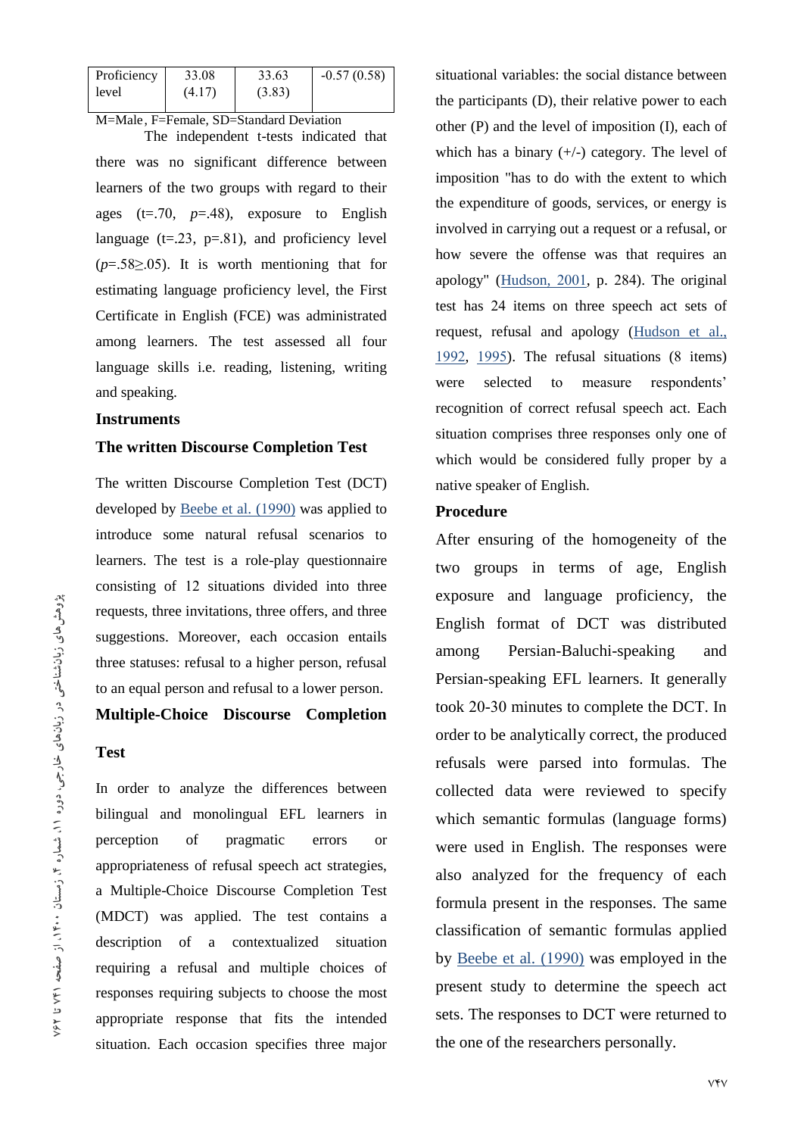| Proficiency                             | 33.08  | 33.63  | $-0.57(0.58)$ |  |  |  |  |  |  |
|-----------------------------------------|--------|--------|---------------|--|--|--|--|--|--|
| level                                   | (4.17) | (3.83) |               |  |  |  |  |  |  |
| M=Male, F=Female, SD=Standard Deviation |        |        |               |  |  |  |  |  |  |

The independent t-tests indicated that there was no significant difference between learners of the two groups with regard to their ages (t=.70, *p*=.48), exposure to English language  $(t=.23, p=.81)$ , and proficiency level (*p*=.58≥.05). It is worth mentioning that for estimating language proficiency level, the First Certificate in English (FCE) was administrated among learners. The test assessed all four language skills i.e. reading, listening, writing and speaking.

# **Instruments**

# **The written Discourse Completion Test**

The written Discourse Completion Test (DCT) developed by Beebe et al. (1990) was applied to introduce some natural refusal scenarios to learners. The test is a role-play questionnaire consisting of 12 situations divided into three requests, three invitations, three offers, and three suggestions. Moreover, each occasion entails three statuses: refusal to a higher person, refusal to an equal person and refusal to a lower person.

# **Multiple-Choice Discourse Completion**

# **Test**

In order to analyze the differences between bilingual and monolingual EFL learners in perception of pragmatic errors or appropriateness of refusal speech act strategies, a Multiple-Choice Discourse Completion Test (MDCT) was applied. The test contains a description of a contextualized situation requiring a refusal and multiple choices of responses requiring subjects to choose the most appropriate response that fits the intended situation. Each occasion specifies three major

situational variables: the social distance between the participants (D), their relative power to each other (P) and the level of imposition (I), each of which has a binary  $(+/-)$  category. The level of imposition "has to do with the extent to which the expenditure of goods, services, or energy is involved in carrying out a request or a refusal, or how severe the offense was that requires an apology" (Hudson, 2001, p. 284). The original test has 24 items on three speech act sets of request, refusal and apology (Hudson et al., 1992, 1995). The refusal situations (8 items) were selected to measure respondents' recognition of correct refusal speech act. Each situation comprises three responses only one of which would be considered fully proper by a native speaker of English.

# **Procedure**

After ensuring of the homogeneity of the two groups in terms of age, English exposure and language proficiency, the English format of DCT was distributed among Persian-Baluchi-speaking and Persian-speaking EFL learners. It generally took 20-30 minutes to complete the DCT. In order to be analytically correct, the produced refusals were parsed into formulas. The collected data were reviewed to specify which semantic formulas (language forms) were used in English. The responses were also analyzed for the frequency of each formula present in the responses. The same classification of semantic formulas applied by Beebe et al. (1990) was employed in the present study to determine the speech act sets. The responses to DCT were returned to the one of the researchers personally.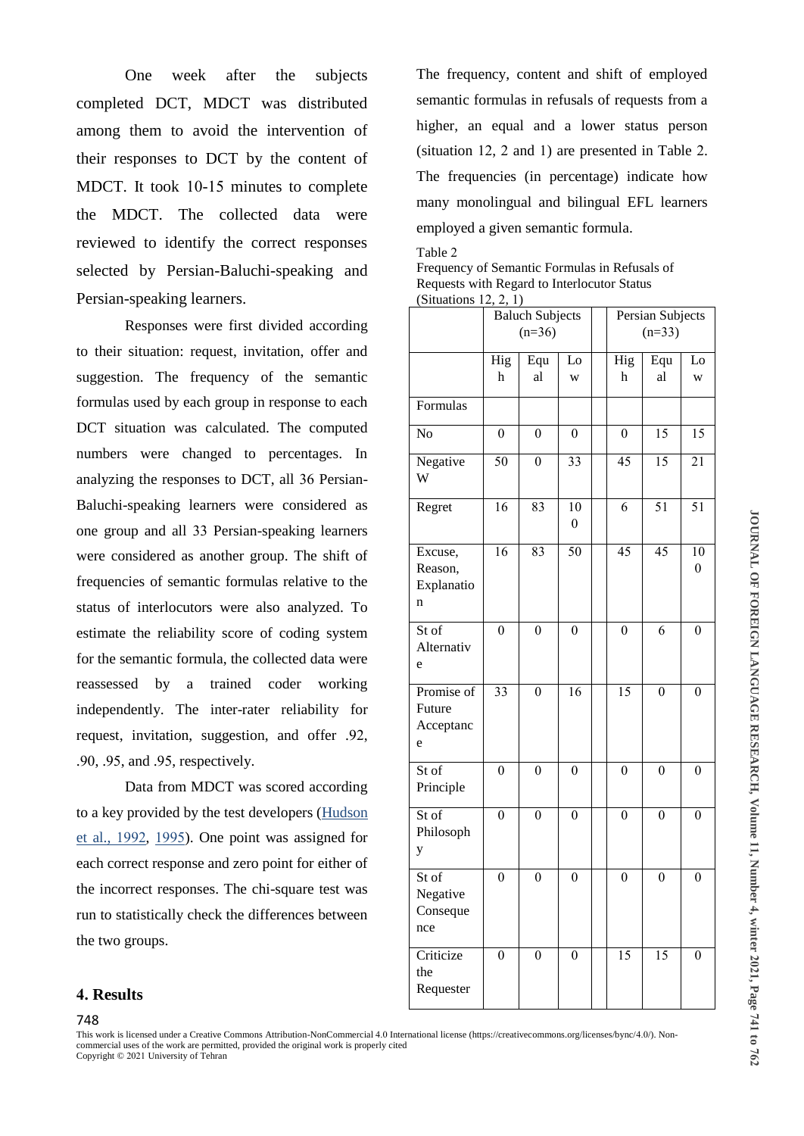One week after the subjects completed DCT, MDCT was distributed among them to avoid the intervention of their responses to DCT by the content of MDCT. It took 10-15 minutes to complete the MDCT. The collected data were reviewed to identify the correct responses selected by Persian-Baluchi-speaking and Persian-speaking learners.

Responses were first divided according to their situation: request, invitation, offer and suggestion. The frequency of the semantic formulas used by each group in response to each DCT situation was calculated. The computed numbers were changed to percentages. In analyzing the responses to DCT, all 36 Persian-Baluchi-speaking learners were considered as one group and all 33 Persian-speaking learners were considered as another group. The shift of frequencies of semantic formulas relative to the status of interlocutors were also analyzed. To estimate the reliability score of coding system for the semantic formula, the collected data were reassessed by a trained coder working independently. The inter-rater reliability for request, invitation, suggestion, and offer .92, .90, .95, and .95, respectively.

Data from MDCT was scored according to a key provided by the test developers (Hudson et al., 1992, 1995). One point was assigned for each correct response and zero point for either of the incorrect responses. The chi-square test was run to statistically check the differences between the two groups.

The frequency, content and shift of employed semantic formulas in refusals of requests from a higher, an equal and a lower status person (situation 12, 2 and 1) are presented in Table 2. The frequencies (in percentage) indicate how many monolingual and bilingual EFL learners employed a given semantic formula.

#### Table 2

Frequency of Semantic Formulas in Refusals of Requests with Regard to Interlocutor Status (Situations 12, 2, 1)

| (DIRTUALIONS 12, 2, 1)                                   | <b>Baluch Subjects</b> |                 |                                     | Persian Subjects |                 |                      |  |
|----------------------------------------------------------|------------------------|-----------------|-------------------------------------|------------------|-----------------|----------------------|--|
|                                                          |                        | $(n=36)$        |                                     |                  | $(n=33)$        |                      |  |
|                                                          | Hig<br>h               | Equ<br>al       | Lo<br>W                             | Hig<br>h         | Equ<br>al       | Lo<br>W              |  |
| Formulas                                                 |                        |                 |                                     |                  |                 |                      |  |
| No                                                       | $\overline{0}$         | $\overline{0}$  | $\overline{0}$                      | $\overline{0}$   | 15              | 15                   |  |
| Negative<br>W                                            | $\overline{50}$        | $\overline{0}$  | 33                                  | $\overline{45}$  | $\overline{15}$ | $\overline{21}$      |  |
| Regret                                                   | $\overline{16}$        | $\overline{83}$ | $\overline{10}$<br>$\boldsymbol{0}$ | $\overline{6}$   | $\overline{51}$ | 51                   |  |
| Excuse,<br>Reason,<br>Explanatio<br>n                    | 16                     | 83              | 50                                  | $\overline{45}$  | 45              | 10<br>$\overline{0}$ |  |
| St of<br>Alternativ<br>e                                 | $\overline{0}$         | $\overline{0}$  | $\theta$                            | $\overline{0}$   | $\overline{6}$  | $\theta$             |  |
| Promise of<br>Future<br>Acceptanc<br>e                   | $\overline{33}$        | $\overline{0}$  | $\overline{16}$                     | $\overline{15}$  | $\overline{0}$  | $\overline{0}$       |  |
| St of<br>Principle                                       | $\overline{0}$         | $\overline{0}$  | $\overline{0}$                      | $\overline{0}$   | $\overline{0}$  | $\overline{0}$       |  |
| St of<br>Philosoph<br>y                                  | $\overline{0}$         | $\overline{0}$  | $\overline{0}$                      | $\overline{0}$   | $\overline{0}$  | $\overline{0}$       |  |
| $\overline{\text{St of}}$<br>Negative<br>Conseque<br>nce | $\overline{0}$         | $\overline{0}$  | $\overline{0}$                      | $\overline{0}$   | $\overline{0}$  | $\overline{0}$       |  |
| Criticize<br>the<br>Requester                            | $\overline{0}$         | $\overline{0}$  | $\overline{0}$                      | $\overline{15}$  | $\overline{15}$ | $\overline{0}$       |  |

# **4. Results**

This work is licensed under a Creative Commons Attribution-NonCommercial 4.0 International license (https://creativecommons.org/licenses/bync/4.0/). Noncommercial uses of the work are permitted, provided the original work is properly cited Copyright © 2021 University of Tehran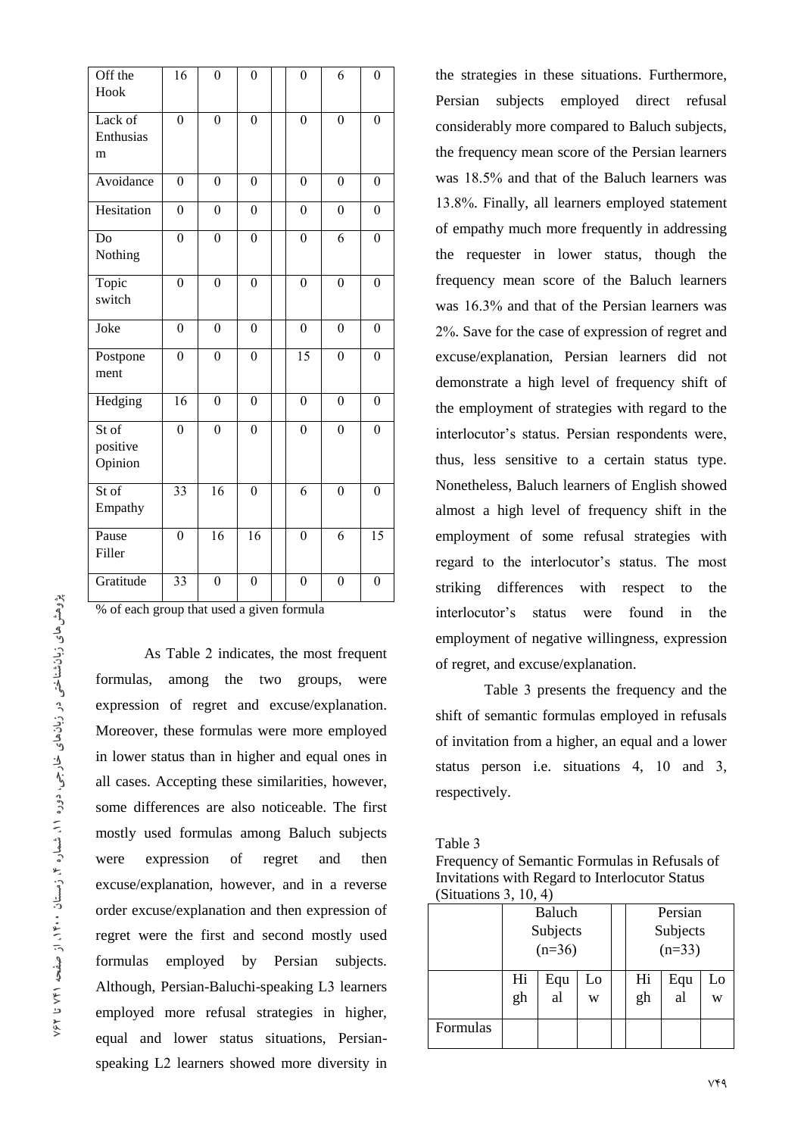| Off the<br>Hook              | $\overline{16}$  | $\overline{0}$   | $\overline{0}$   | $\boldsymbol{0}$ | 6                | $\boldsymbol{0}$ |
|------------------------------|------------------|------------------|------------------|------------------|------------------|------------------|
| Lack of<br>Enthusias<br>m    | $\overline{0}$   | $\overline{0}$   | $\overline{0}$   | $\mathbf{0}$     | $\overline{0}$   | $\overline{0}$   |
| Avoidance                    | $\overline{0}$   | $\overline{0}$   | $\theta$         | $\theta$         | $\theta$         | $\boldsymbol{0}$ |
| Hesitation                   | $\overline{0}$   | $\overline{0}$   | $\overline{0}$   | $\theta$         | $\overline{0}$   | $\boldsymbol{0}$ |
| Do<br>Nothing                | $\overline{0}$   | $\overline{0}$   | $\overline{0}$   | $\overline{0}$   | 6                | $\overline{0}$   |
| Topic<br>switch              | $\overline{0}$   | $\overline{0}$   | $\overline{0}$   | $\overline{0}$   | $\overline{0}$   | $\overline{0}$   |
| Joke                         | $\boldsymbol{0}$ | $\overline{0}$   | $\overline{0}$   | $\mathbf{0}$     | $\boldsymbol{0}$ | $\boldsymbol{0}$ |
| Postpone<br>ment             | $\overline{0}$   | $\overline{0}$   | $\boldsymbol{0}$ | $\overline{15}$  | $\overline{0}$   | $\boldsymbol{0}$ |
| Hedging                      | 16               | $\boldsymbol{0}$ | $\boldsymbol{0}$ | $\boldsymbol{0}$ | $\boldsymbol{0}$ | $\boldsymbol{0}$ |
| St of<br>positive<br>Opinion | $\boldsymbol{0}$ | $\overline{0}$   | $\boldsymbol{0}$ | $\mathbf{0}$     | $\overline{0}$   | $\overline{0}$   |
| St of<br>Empathy             | $\overline{33}$  | $\overline{16}$  | $\overline{0}$   | 6                | $\overline{0}$   | $\overline{0}$   |
| Pause<br>Filler              | $\overline{0}$   | 16               | 16               | $\mathbf{0}$     | 6                | 15               |
| Gratitude                    | $\overline{33}$  | $\overline{0}$   | $\overline{0}$   | $\overline{0}$   | $\overline{0}$   | $\overline{0}$   |

% of each group that used a given formula

As Table 2 indicates, the most frequent formulas, among the two groups, were expression of regret and excuse/explanation. Moreover, these formulas were more employed in lower status than in higher and equal ones in all cases. Accepting these similarities, however, some differences are also noticeable. The first mostly used formulas among Baluch subjects were expression of regret and then excuse/explanation, however, and in a reverse order excuse/explanation and then expression of regret were the first and second mostly used formulas employed by Persian subjects. Although, Persian-Baluchi-speaking L3 learners employed more refusal strategies in higher, equal and lower status situations, Persianspeaking L2 learners showed more diversity in

the strategies in these situations. Furthermore, Persian subjects employed direct refusal considerably more compared to Baluch subjects, the frequency mean score of the Persian learners was 18.5% and that of the Baluch learners was 13.8%. Finally, all learners employed statement of empathy much more frequently in addressing the requester in lower status, though the frequency mean score of the Baluch learners was 16.3% and that of the Persian learners was 2%. Save for the case of expression of regret and excuse/explanation, Persian learners did not demonstrate a high level of frequency shift of the employment of strategies with regard to the interlocutor's status. Persian respondents were, thus, less sensitive to a certain status type. Nonetheless, Baluch learners of English showed almost a high level of frequency shift in the employment of some refusal strategies with regard to the interlocutor's status. The most striking differences with respect to the interlocutor's status were found in the employment of negative willingness, expression of regret, and excuse/explanation.

Table 3 presents the frequency and the shift of semantic formulas employed in refusals of invitation from a higher, an equal and a lower status person i.e. situations 4, 10 and 3, respectively.

#### Table 3

Frequency of Semantic Formulas in Refusals of Invitations with Regard to Interlocutor Status (Situations 3, 10, 4)

|          | Baluch   |     |    |  | Persian  |            |    |  |
|----------|----------|-----|----|--|----------|------------|----|--|
|          | Subjects |     |    |  | Subjects |            |    |  |
|          | $(n=36)$ |     |    |  | $(n=33)$ |            |    |  |
|          | Hi       | Equ | Lo |  | Hi       | Equ        | Lo |  |
|          | gh       | al  | W  |  | gh       | $a\bar{l}$ | W  |  |
| Formulas |          |     |    |  |          |            |    |  |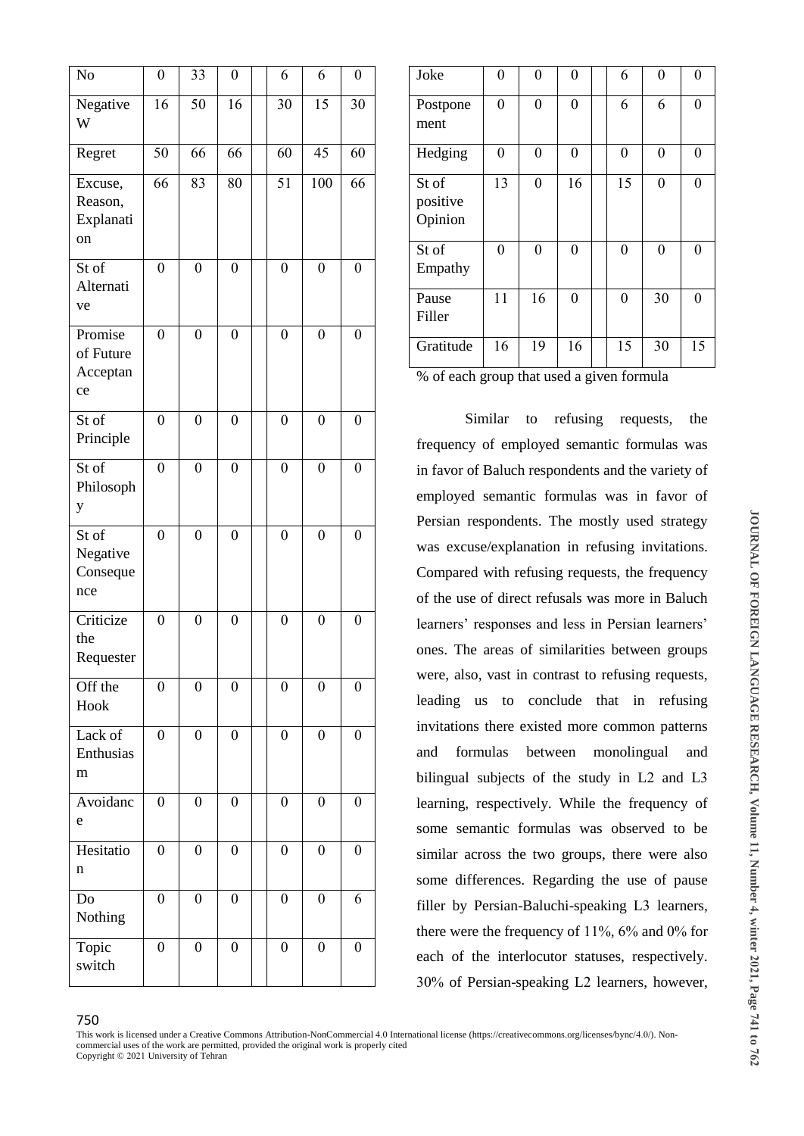| No                                     | $\boldsymbol{0}$ | 33               | $\boldsymbol{0}$ | 6                | 6                | $\boldsymbol{0}$ |
|----------------------------------------|------------------|------------------|------------------|------------------|------------------|------------------|
| Negative<br>W                          | 16               | 50               | 16               | 30               | 15               | 30               |
| Regret                                 | 50               | 66               | 66               | 60               | 45               | 60               |
| Excuse,<br>Reason,<br>Explanati<br>on  | 66               | 83               | 80               | $\overline{51}$  | 100              | 66               |
| St of<br>Alternati<br>ve               | $\boldsymbol{0}$ | $\boldsymbol{0}$ | $\boldsymbol{0}$ | $\overline{0}$   | $\overline{0}$   | $\boldsymbol{0}$ |
| Promise<br>of Future<br>Acceptan<br>ce | $\boldsymbol{0}$ | $\boldsymbol{0}$ | $\boldsymbol{0}$ | $\boldsymbol{0}$ | $\boldsymbol{0}$ | $\boldsymbol{0}$ |
| $\overline{\text{St of}}$<br>Principle | $\overline{0}$   | $\overline{0}$   | $\boldsymbol{0}$ | $\overline{0}$   | $\overline{0}$   | $\boldsymbol{0}$ |
| St of<br>Philosoph<br>y                | $\boldsymbol{0}$ | $\boldsymbol{0}$ | $\boldsymbol{0}$ | $\boldsymbol{0}$ | $\boldsymbol{0}$ | $\boldsymbol{0}$ |
| St of<br>Negative<br>Conseque<br>nce   | $\overline{0}$   | $\boldsymbol{0}$ | $\boldsymbol{0}$ | $\overline{0}$   | $\overline{0}$   | $\boldsymbol{0}$ |
| Criticize<br>the<br>Requester          | $\boldsymbol{0}$ | $\boldsymbol{0}$ | $\boldsymbol{0}$ | $\boldsymbol{0}$ | $\overline{0}$   | $\boldsymbol{0}$ |
| Off the<br>Hook                        | $\boldsymbol{0}$ | $\boldsymbol{0}$ | $\boldsymbol{0}$ | $\boldsymbol{0}$ | $\boldsymbol{0}$ | $\boldsymbol{0}$ |
| Lack of<br>Enthusias<br>m              | $\overline{0}$   | $\boldsymbol{0}$ | $\boldsymbol{0}$ | $\boldsymbol{0}$ | $\boldsymbol{0}$ | $\boldsymbol{0}$ |
| Avoidanc<br>e                          | $\boldsymbol{0}$ | $\boldsymbol{0}$ | $\boldsymbol{0}$ | $\boldsymbol{0}$ | $\boldsymbol{0}$ | $\boldsymbol{0}$ |
| Hesitatio<br>n                         | $\boldsymbol{0}$ | $\boldsymbol{0}$ | $\boldsymbol{0}$ | $\boldsymbol{0}$ | $\overline{0}$   | $\boldsymbol{0}$ |
| Do<br>Nothing                          | $\boldsymbol{0}$ | $\overline{0}$   | $\boldsymbol{0}$ | $\boldsymbol{0}$ | $\boldsymbol{0}$ | 6                |
| Topic<br>switch                        | $\boldsymbol{0}$ | $\boldsymbol{0}$ | $\boldsymbol{0}$ | $\boldsymbol{0}$ | $\boldsymbol{0}$ | $\boldsymbol{0}$ |

| Joke                         | 0              | 0                | 0                | 6                | $\theta$       | 0                |
|------------------------------|----------------|------------------|------------------|------------------|----------------|------------------|
| Postpone<br>ment             | $\overline{0}$ | $\boldsymbol{0}$ | $\boldsymbol{0}$ | 6                | 6              | $\boldsymbol{0}$ |
| Hedging                      | 0              | 0                | 0                | $\boldsymbol{0}$ | $\theta$       | $\overline{0}$   |
| St of<br>positive<br>Opinion | 13             | $\boldsymbol{0}$ | 16               | 15               | $\theta$       | $\boldsymbol{0}$ |
| St of<br>Empathy             | 0              | 0                | 0                | $\boldsymbol{0}$ | $\overline{0}$ | $\overline{0}$   |
| Pause<br>Filler              | 11             | 16               | $\boldsymbol{0}$ | $\boldsymbol{0}$ | 30             | $\boldsymbol{0}$ |
| Gratitude                    | 16             | 19               | 16               | 15               | 30             | 15               |

% of each group that used a given formula

Similar to refusing requests, the frequency of employed semantic formulas was in favor of Baluch respondents and the variety of employed semantic formulas was in favor of Persian respondents. The mostly used strategy was excuse/explanation in refusing invitations. Compared with refusing requests, the frequency of the use of direct refusals was more in Baluch learners' responses and less in Persian learners' ones. The areas of similarities between groups were, also, vast in contrast to refusing requests, leading us to conclude that in refusing invitations there existed more common patterns and formulas between monolingual and bilingual subjects of the study in L2 and L3 learning, respectively. While the frequency of some semantic formulas was observed to be similar across the two groups, there were also some differences. Regarding the use of pause filler by Persian-Baluchi-speaking L3 learners, there were the frequency of 11%, 6% and 0% for each of the interlocutor statuses, respectively. 30% of Persian-speaking L2 learners, however,

This work is licensed under a Creative Commons Attribution-NonCommercial 4.0 International license (https://creativecommons.org/licenses/bync/4.0/). Noncommercial uses of the work are permitted, provided the original work is properly cited Copyright © 2021 University of Tehran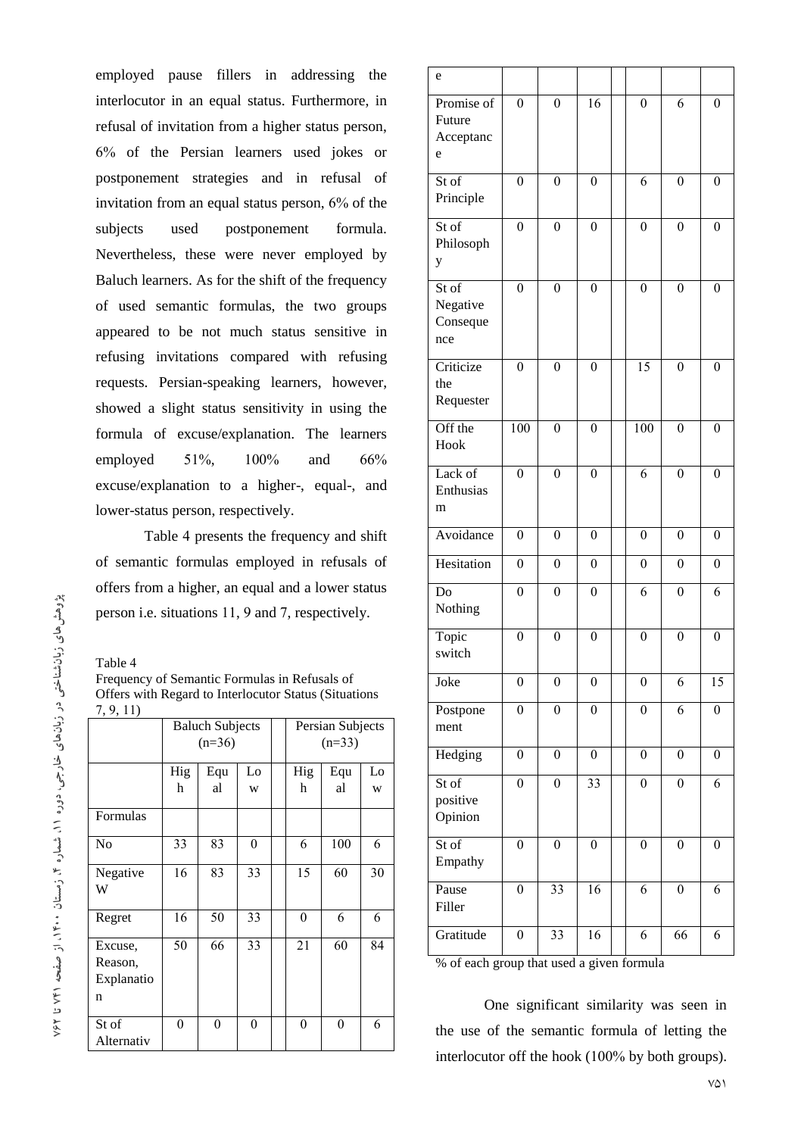employed pause fillers in addressing the interlocutor in an equal status. Furthermore, in refusal of invitation from a higher status person, 6% of the Persian learners used jokes or postponement strategies and in refusal of invitation from an equal status person, 6% of the subjects used postponement formula. Nevertheless, these were never employed by Baluch learners. As for the shift of the frequency of used semantic formulas, the two groups appeared to be not much status sensitive in refusing invitations compared with refusing requests. Persian-speaking learners, however, showed a slight status sensitivity in using the formula of excuse/explanation. The learners employed 51%, 100% and 66% excuse/explanation to a higher-, equal-, and lower-status person, respectively.

Table 4 presents the frequency and shift of semantic formulas employed in refusals of offers from a higher, an equal and a lower status person i.e. situations 11, 9 and 7, respectively.

Table 4

Frequency of Semantic Formulas in Refusals of Offers with Regard to Interlocutor Status (Situations 7, 9, 11)

|                |          | <b>Baluch Subjects</b> |          | Persian Subjects |                  |    |  |
|----------------|----------|------------------------|----------|------------------|------------------|----|--|
|                |          | $(n=36)$               |          | $(n=33)$         |                  |    |  |
|                | Hig      | Equ                    | Lo       | Hig              | Equ              | Lo |  |
|                | h        | al                     | W        | h                | al               | W  |  |
| Formulas       |          |                        |          |                  |                  |    |  |
| N <sub>0</sub> | 33       | 83                     | $\theta$ | 6                | 100              | 6  |  |
| Negative<br>W  | 16       | 83                     | 33       | 15               | 60               | 30 |  |
| Regret         | 16       | 50                     | 33       | $\theta$         | 6                | 6  |  |
| Excuse,        | 50       | 66                     | 33       | 21               | 60               | 84 |  |
| Reason,        |          |                        |          |                  |                  |    |  |
| Explanatio     |          |                        |          |                  |                  |    |  |
| n              |          |                        |          |                  |                  |    |  |
| St of          | $\theta$ | $\theta$               | $\theta$ | $\theta$         | $\boldsymbol{0}$ | 6  |  |
| Alternativ     |          |                        |          |                  |                  |    |  |

| e                                           |                  |                  |                  |                  |                  |                  |
|---------------------------------------------|------------------|------------------|------------------|------------------|------------------|------------------|
| Promise of<br>Future<br>Acceptanc<br>e      | $\boldsymbol{0}$ | $\boldsymbol{0}$ | 16               | $\boldsymbol{0}$ | 6                | $\boldsymbol{0}$ |
| St of<br>Principle                          | $\overline{0}$   | $\overline{0}$   | $\mathbf{0}$     | 6                | $\mathbf{0}$     | $\mathbf{0}$     |
| $\overline{\text{St of}}$<br>Philosoph<br>y | $\boldsymbol{0}$ | $\overline{0}$   | $\mathbf{0}$     | $\mathbf{0}$     | $\boldsymbol{0}$ | $\mathbf{0}$     |
| St of<br>Negative<br>Conseque<br>nce        | $\boldsymbol{0}$ | $\mathbf{0}$     | $\boldsymbol{0}$ | $\mathbf{0}$     | $\boldsymbol{0}$ | $\boldsymbol{0}$ |
| Criticize<br>the<br>Requester               | $\overline{0}$   | $\overline{0}$   | $\mathbf{0}$     | $\overline{15}$  | $\overline{0}$   | $\mathbf{0}$     |
| $\overline{Off}$ the<br>Hook                | $\overline{100}$ | $\mathbf{0}$     | $\mathbf{0}$     | 100              | $\mathbf{0}$     | $\mathbf{0}$     |
| Lack of<br>Enthusias<br>m                   | $\overline{0}$   | $\boldsymbol{0}$ | $\boldsymbol{0}$ | 6                | $\mathbf{0}$     | $\mathbf{0}$     |
| Avoidance                                   | $\overline{0}$   | $\overline{0}$   | $\mathbf{0}$     | $\mathbf{0}$     | $\boldsymbol{0}$ | $\mathbf{0}$     |
| Hesitation                                  | 0                | $\mathbf{0}$     | $\boldsymbol{0}$ | $\overline{0}$   | $\boldsymbol{0}$ | $\mathbf{0}$     |
| Do<br>Nothing                               | $\boldsymbol{0}$ | $\boldsymbol{0}$ | $\boldsymbol{0}$ | 6                | $\boldsymbol{0}$ | 6                |
| Topic<br>switch                             | $\boldsymbol{0}$ | $\boldsymbol{0}$ | $\boldsymbol{0}$ | $\boldsymbol{0}$ | $\boldsymbol{0}$ | $\boldsymbol{0}$ |
| Joke                                        | $\boldsymbol{0}$ | $\overline{0}$   | $\overline{0}$   | $\overline{0}$   | $\overline{6}$   | $\overline{15}$  |
| Postpone<br>ment                            | $\boldsymbol{0}$ | $\boldsymbol{0}$ | $\boldsymbol{0}$ | $\boldsymbol{0}$ | 6                | $\overline{0}$   |
| Hedging                                     | $\boldsymbol{0}$ | $\boldsymbol{0}$ | $\boldsymbol{0}$ | $\boldsymbol{0}$ | $\boldsymbol{0}$ | $\boldsymbol{0}$ |
| St of<br>positive<br>Opinion                | $\boldsymbol{0}$ | $\boldsymbol{0}$ | 33               | $\boldsymbol{0}$ | $\boldsymbol{0}$ | 6                |
| St of<br>Empathy                            | $\overline{0}$   | $\boldsymbol{0}$ | $\overline{0}$   | $\boldsymbol{0}$ | $\boldsymbol{0}$ | $\mathbf{0}$     |
| Pause<br>Filler                             | $\boldsymbol{0}$ | 33               | $\overline{16}$  | $\overline{6}$   | $\overline{0}$   | $\overline{6}$   |
| Gratitude                                   | $\boldsymbol{0}$ | 33               | 16               | 6                | 66               | 6                |

% of each group that used a given formula

One significant similarity was seen in the use of the semantic formula of letting the interlocutor off the hook (100% by both groups).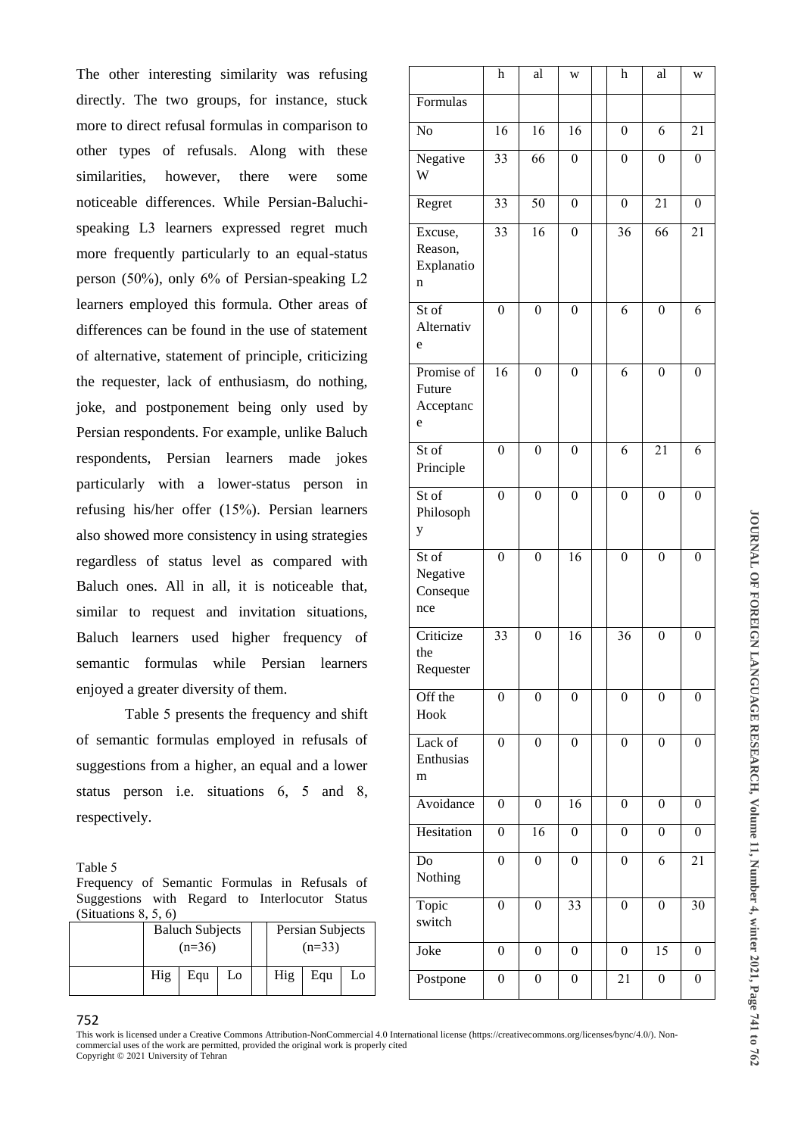The other interesting similarity was refusing directly. The two groups, for instance, stuck more to direct refusal formulas in comparison to other types of refusals. Along with these similarities, however, there were some noticeable differences. While Persian-Baluchispeaking L3 learners expressed regret much more frequently particularly to an equal-status person (50%), only 6% of Persian-speaking L2 learners employed this formula. Other areas of differences can be found in the use of statement of alternative, statement of principle, criticizing the requester, lack of enthusiasm, do nothing, joke, and postponement being only used by Persian respondents. For example, unlike Baluch respondents, Persian learners made jokes particularly with a lower-status person in refusing his/her offer (15%). Persian learners also showed more consistency in using strategies regardless of status level as compared with Baluch ones. All in all, it is noticeable that, similar to request and invitation situations, Baluch learners used higher frequency of semantic formulas while Persian learners enjoyed a greater diversity of them.

Table 5 presents the frequency and shift of semantic formulas employed in refusals of suggestions from a higher, an equal and a lower status person i.e. situations 6, 5 and 8, respectively.

Table 5 Frequency of Semantic Formulas in Refusals of Suggestions with Regard to Interlocutor Status  $\circ$   $\circ$   $\circ$ 

| (Situations $\delta$ , $\delta$ , $\delta$ ) |                                    |     |    |  |                              |     |    |  |
|----------------------------------------------|------------------------------------|-----|----|--|------------------------------|-----|----|--|
|                                              | <b>Baluch Subjects</b><br>$(n=36)$ |     |    |  | Persian Subjects<br>$(n=33)$ |     |    |  |
|                                              | Hig                                | Equ | Lo |  | Hig                          | Equ | Lo |  |

|                                        | h                | al               | W                | h                | al               | W                |
|----------------------------------------|------------------|------------------|------------------|------------------|------------------|------------------|
| Formulas                               |                  |                  |                  |                  |                  |                  |
| No                                     | 16               | 16               | 16               | $\boldsymbol{0}$ | 6                | 21               |
| Negative<br>W                          | $\overline{33}$  | 66               | $\boldsymbol{0}$ | $\mathbf{0}$     | $\boldsymbol{0}$ | $\boldsymbol{0}$ |
| Regret                                 | $\overline{33}$  | 50               | $\boldsymbol{0}$ | $\boldsymbol{0}$ | $\overline{21}$  | $\boldsymbol{0}$ |
| Excuse,<br>Reason,<br>Explanatio<br>n  | 33               | 16               | $\boldsymbol{0}$ | 36               | 66               | 21               |
| St of<br>Alternativ<br>e               | $\overline{0}$   | $\overline{0}$   | $\overline{0}$   | $\overline{6}$   | $\boldsymbol{0}$ | 6                |
| Promise of<br>Future<br>Acceptanc<br>e | 16               | $\overline{0}$   | $\overline{0}$   | 6                | $\overline{0}$   | $\boldsymbol{0}$ |
| $St\overline{of}$<br>Principle         | $\boldsymbol{0}$ | $\boldsymbol{0}$ | $\boldsymbol{0}$ | 6                | 21               | 6                |
| St of<br>Philosoph<br>y                | $\boldsymbol{0}$ | $\boldsymbol{0}$ | $\overline{0}$   | $\mathbf{0}$     | $\boldsymbol{0}$ | $\boldsymbol{0}$ |
| $St$ of<br>Negative<br>Conseque<br>nce | $\boldsymbol{0}$ | $\boldsymbol{0}$ | $\overline{16}$  | $\boldsymbol{0}$ | $\boldsymbol{0}$ | $\boldsymbol{0}$ |
| Criticize<br>the<br>Requester          | 33               | $\boldsymbol{0}$ | 16               | 36               | $\overline{0}$   | $\boldsymbol{0}$ |
| Off the<br>Hook                        | $\overline{0}$   | $\overline{0}$   | $\overline{0}$   | $\overline{0}$   | $\overline{0}$   | $\overline{0}$   |
| Lack of<br>Enthusias<br>m              | $\boldsymbol{0}$ | $\boldsymbol{0}$ | $\boldsymbol{0}$ | $\boldsymbol{0}$ | $\boldsymbol{0}$ | $\boldsymbol{0}$ |
| Avoidance                              | $\boldsymbol{0}$ | $\boldsymbol{0}$ | 16               | $\boldsymbol{0}$ | $\boldsymbol{0}$ | $\boldsymbol{0}$ |
| Hesitation                             | $\boldsymbol{0}$ | 16               | $\boldsymbol{0}$ | $\boldsymbol{0}$ | $\boldsymbol{0}$ | $\boldsymbol{0}$ |
| Do<br>Nothing                          | $\boldsymbol{0}$ | $\boldsymbol{0}$ | $\boldsymbol{0}$ | $\boldsymbol{0}$ | 6                | 21               |
| Topic<br>switch                        | $\boldsymbol{0}$ | $\boldsymbol{0}$ | 33               | $\boldsymbol{0}$ | $\boldsymbol{0}$ | 30               |
| Joke                                   | $\boldsymbol{0}$ | $\boldsymbol{0}$ | $\boldsymbol{0}$ | $\boldsymbol{0}$ | $\overline{15}$  | $\boldsymbol{0}$ |
| Postpone                               | $\boldsymbol{0}$ | $\boldsymbol{0}$ | $\boldsymbol{0}$ | 21               | $\boldsymbol{0}$ | $\boldsymbol{0}$ |

**JOURNAL OF FOREIGN LANGUAGE RESEARCH, Volume 11, Number 4, winter 2021, Page 741 JOURNAL OF FOREIGN LANGUAGE RESEARCH, Volume 11, Number 4, winter 2021, Page 741 to 763** 

#### This work is licensed under a Creative Commons Attribution-NonCommercial 4.0 International license (https://creativecommons.org/licenses/bync/4.0/). Noncommercial uses of the work are permitted, provided the original work is properly cited

Copyright © 2021 University of Tehran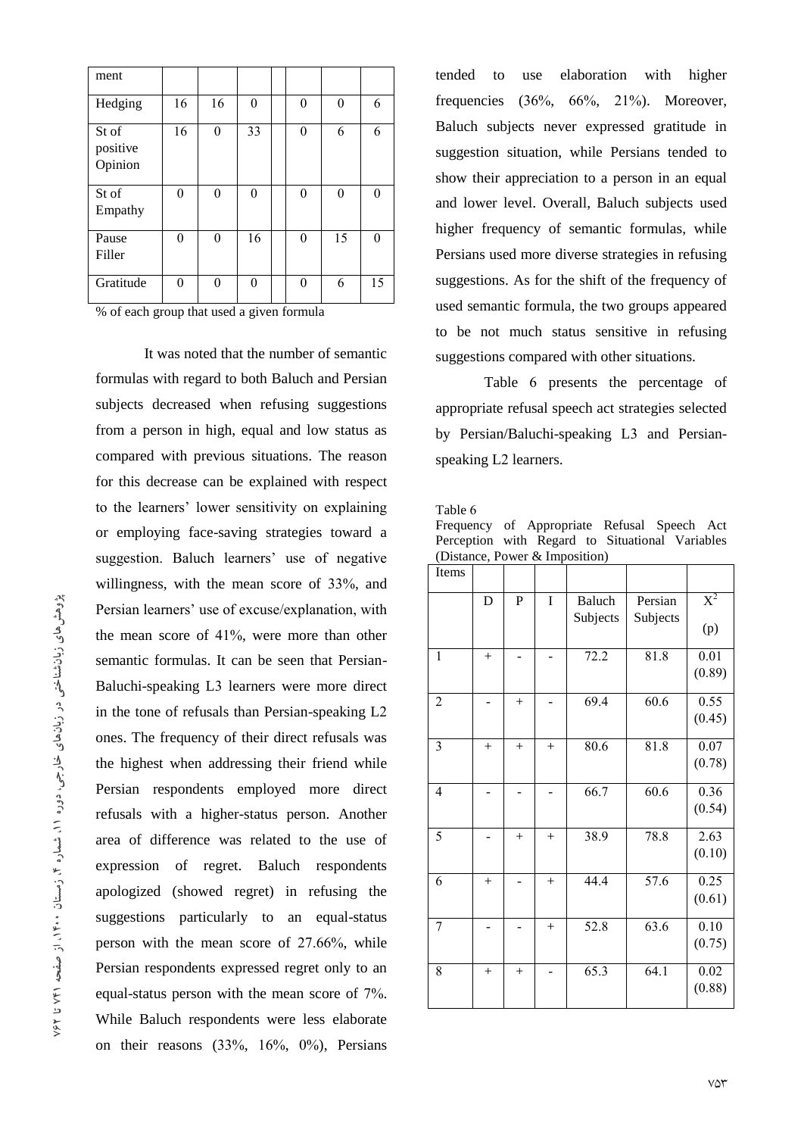| ment                         |          |          |          |          |          |          |
|------------------------------|----------|----------|----------|----------|----------|----------|
| Hedging                      | 16       | 16       | $\theta$ | $\theta$ | 0        | 6        |
| St of<br>positive<br>Opinion | 16       | $\theta$ | 33       | $\theta$ | 6        | 6        |
| St of<br>Empathy             | $\theta$ | 0        | $\theta$ | $\theta$ | $\theta$ | $\Omega$ |
| Pause<br>Filler              | $\theta$ | $\Omega$ | 16       | $\theta$ | 15       | $\Omega$ |
| Gratitude                    | $\theta$ | 0        | $\Omega$ | $\Omega$ | 6        | 15       |

% of each group that used a given formula

It was noted that the number of semantic formulas with regard to both Baluch and Persian subjects decreased when refusing suggestions from a person in high, equal and low status as compared with previous situations. The reason for this decrease can be explained with respect to the learners' lower sensitivity on explaining or employing face-saving strategies toward a suggestion. Baluch learners' use of negative willingness, with the mean score of 33%, and Persian learners' use of excuse/explanation, with the mean score of 41%, were more than other semantic formulas. It can be seen that Persian-Baluchi-speaking L3 learners were more direct in the tone of refusals than Persian-speaking L2 ones. The frequency of their direct refusals was the highest when addressing their friend while Persian respondents employed more direct refusals with a higher-status person. Another area of difference was related to the use of expression of regret. Baluch respondents apologized (showed regret) in refusing the suggestions particularly to an equal-status person with the mean score of 27.66%, while Persian respondents expressed regret only to an equal-status person with the mean score of 7%. While Baluch respondents were less elaborate on their reasons  $(33\%, 16\%, 0\%)$ , Persians

tended to use elaboration with higher frequencies  $(36\%, 66\%, 21\%)$ . Moreover, Baluch subjects never expressed gratitude in suggestion situation, while Persians tended to show their appreciation to a person in an equal and lower level. Overall, Baluch subjects used higher frequency of semantic formulas, while Persians used more diverse strategies in refusing suggestions. As for the shift of the frequency of used semantic formula, the two groups appeared to be not much status sensitive in refusing suggestions compared with other situations.

Table 6 presents the percentage of appropriate refusal speech act strategies selected by Persian/Baluchi-speaking L3 and Persianspeaking L2 learners.

Table 6

Frequency of Appropriate Refusal Speech Act Perception with Regard to Situational Variables (Distance, Power & Imposition)

| Items          |        |              |        |                           |                     |                             |
|----------------|--------|--------------|--------|---------------------------|---------------------|-----------------------------|
|                | D      | $\mathbf{P}$ | I      | <b>Baluch</b><br>Subjects | Persian<br>Subjects | $\overline{X}^2$<br>(p)     |
| 1              | $+$    |              |        | 72.2                      | 81.8                | $\overline{0.01}$<br>(0.89) |
| $\overline{2}$ |        | $^{+}$       |        | 69.4                      | 60.6                | 0.55<br>(0.45)              |
| $\overline{3}$ | $+$    | $^{+}$       | $^{+}$ | 80.6                      | 81.8                | 0.07<br>(0.78)              |
| $\overline{4}$ |        |              |        | 66.7                      | 60.6                | 0.36<br>(0.54)              |
| 5              |        | $^{+}$       | $^{+}$ | 38.9                      | 78.8                | 2.63<br>(0.10)              |
| 6              | $^{+}$ |              | $^{+}$ | 44.4                      | 57.6                | 0.25<br>(0.61)              |
| 7              |        |              | $^{+}$ | 52.8                      | 63.6                | 0.10<br>(0.75)              |
| 8              | $^{+}$ | $+$          |        | 65.3                      | 64.1                | 0.02<br>(0.88)              |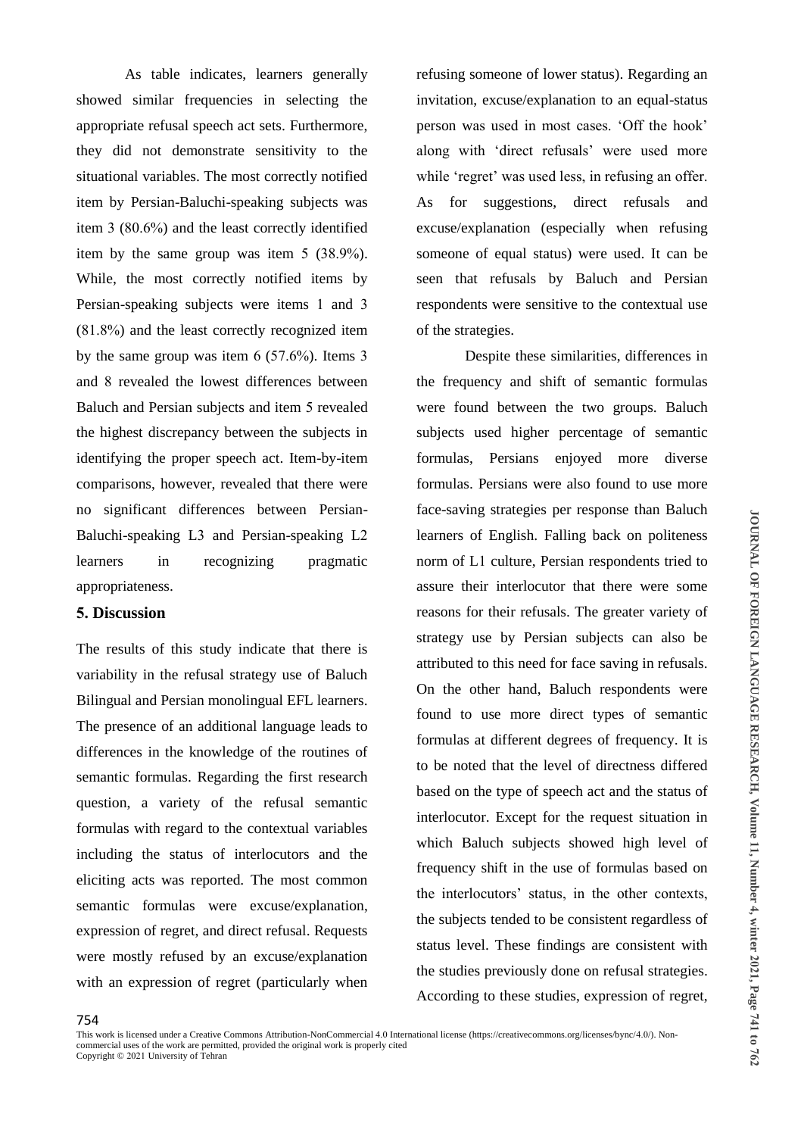As table indicates, learners generally showed similar frequencies in selecting the appropriate refusal speech act sets. Furthermore, they did not demonstrate sensitivity to the situational variables. The most correctly notified item by Persian-Baluchi-speaking subjects was item 3 (80.6%) and the least correctly identified item by the same group was item 5 (38.9%). While, the most correctly notified items by Persian-speaking subjects were items 1 and 3 (81.8%) and the least correctly recognized item by the same group was item 6 (57.6%). Items 3 and 8 revealed the lowest differences between Baluch and Persian subjects and item 5 revealed the highest discrepancy between the subjects in identifying the proper speech act. Item-by-item comparisons, however, revealed that there were no significant differences between Persian-Baluchi-speaking L3 and Persian-speaking L2 learners in recognizing pragmatic appropriateness.

# **5. Discussion**

The results of this study indicate that there is variability in the refusal strategy use of Baluch Bilingual and Persian monolingual EFL learners. The presence of an additional language leads to differences in the knowledge of the routines of semantic formulas. Regarding the first research question, a variety of the refusal semantic formulas with regard to the contextual variables including the status of interlocutors and the eliciting acts was reported. The most common semantic formulas were excuse/explanation, expression of regret, and direct refusal. Requests were mostly refused by an excuse/explanation with an expression of regret (particularly when

refusing someone of lower status). Regarding an invitation, excuse/explanation to an equal-status person was used in most cases. 'Off the hook' along with 'direct refusals' were used more while 'regret' was used less, in refusing an offer. As for suggestions, direct refusals and excuse/explanation (especially when refusing someone of equal status) were used. It can be seen that refusals by Baluch and Persian respondents were sensitive to the contextual use of the strategies.

Despite these similarities, differences in the frequency and shift of semantic formulas were found between the two groups. Baluch subjects used higher percentage of semantic formulas, Persians enjoyed more diverse formulas. Persians were also found to use more face-saving strategies per response than Baluch learners of English. Falling back on politeness norm of L1 culture, Persian respondents tried to assure their interlocutor that there were some reasons for their refusals. The greater variety of strategy use by Persian subjects can also be attributed to this need for face saving in refusals. On the other hand, Baluch respondents were found to use more direct types of semantic formulas at different degrees of frequency. It is to be noted that the level of directness differed based on the type of speech act and the status of interlocutor. Except for the request situation in which Baluch subjects showed high level of frequency shift in the use of formulas based on the interlocutors' status, in the other contexts, the subjects tended to be consistent regardless of status level. These findings are consistent with the studies previously done on refusal strategies. According to these studies, expression of regret,

This work is licensed under a Creative Commons Attribution-NonCommercial 4.0 International license (https://creativecommons.org/licenses/bync/4.0/). Noncommercial uses of the work are permitted, provided the original work is properly cited Copyright © 2021 University of Tehran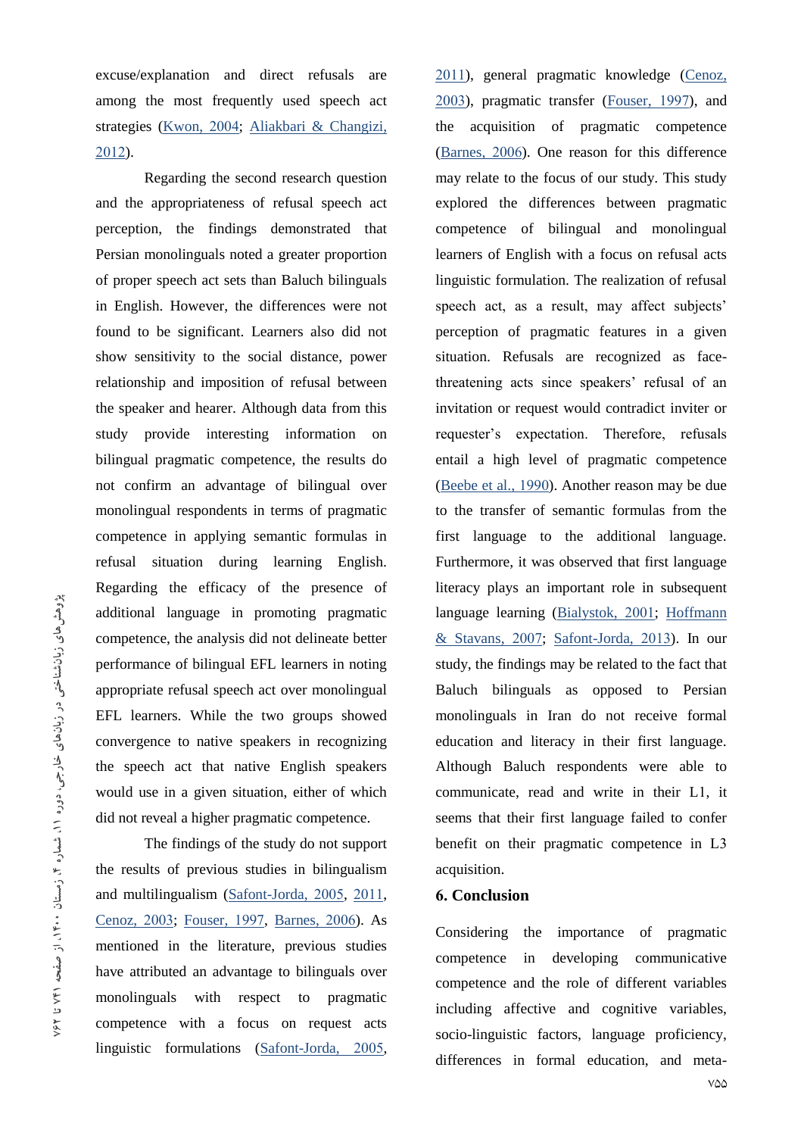excuse/explanation and direct refusals are among the most frequently used speech act strategies (Kwon, 2004; Aliakbari & Changizi, 2012).

Regarding the second research question and the appropriateness of refusal speech act perception, the findings demonstrated that Persian monolinguals noted a greater proportion of proper speech act sets than Baluch bilinguals in English. However, the differences were not found to be significant. Learners also did not show sensitivity to the social distance, power relationship and imposition of refusal between the speaker and hearer. Although data from this study provide interesting information on bilingual pragmatic competence, the results do not confirm an advantage of bilingual over monolingual respondents in terms of pragmatic competence in applying semantic formulas in refusal situation during learning English. Regarding the efficacy of the presence of additional language in promoting pragmatic competence, the analysis did not delineate better performance of bilingual EFL learners in noting appropriate refusal speech act over monolingual EFL learners. While the two groups showed convergence to native speakers in recognizing the speech act that native English speakers would use in a given situation, either of which did not reveal a higher pragmatic competence.

The findings of the study do not support the results of previous studies in bilingualism and multilingualism (Safont-Jorda, 2005, 2011, Cenoz, 2003; Fouser, 1997, Barnes, 2006). As mentioned in the literature, previous studies have attributed an advantage to bilinguals over monolinguals with respect to pragmatic competence with a focus on request acts linguistic formulations (Safont-Jorda, 2005,

2011), general pragmatic knowledge (Cenoz, 2003), pragmatic transfer (Fouser, 1997), and the acquisition of pragmatic competence (Barnes, 2006). One reason for this difference may relate to the focus of our study. This study explored the differences between pragmatic competence of bilingual and monolingual learners of English with a focus on refusal acts linguistic formulation. The realization of refusal speech act, as a result, may affect subjects' perception of pragmatic features in a given situation. Refusals are recognized as facethreatening acts since speakers' refusal of an invitation or request would contradict inviter or requester's expectation. Therefore, refusals entail a high level of pragmatic competence (Beebe et al., 1990). Another reason may be due to the transfer of semantic formulas from the first language to the additional language. Furthermore, it was observed that first language literacy plays an important role in subsequent language learning (Bialystok, 2001; Hoffmann & Stavans, 2007; Safont-Jorda, 2013). In our study, the findings may be related to the fact that Baluch bilinguals as opposed to Persian monolinguals in Iran do not receive formal education and literacy in their first language. Although Baluch respondents were able to communicate, read and write in their L1, it seems that their first language failed to confer benefit on their pragmatic competence in L3 acquisition.

# **6. Conclusion**

Considering the importance of pragmatic competence in developing communicative competence and the role of different variables including affective and cognitive variables, socio-linguistic factors, language proficiency, differences in formal education, and meta-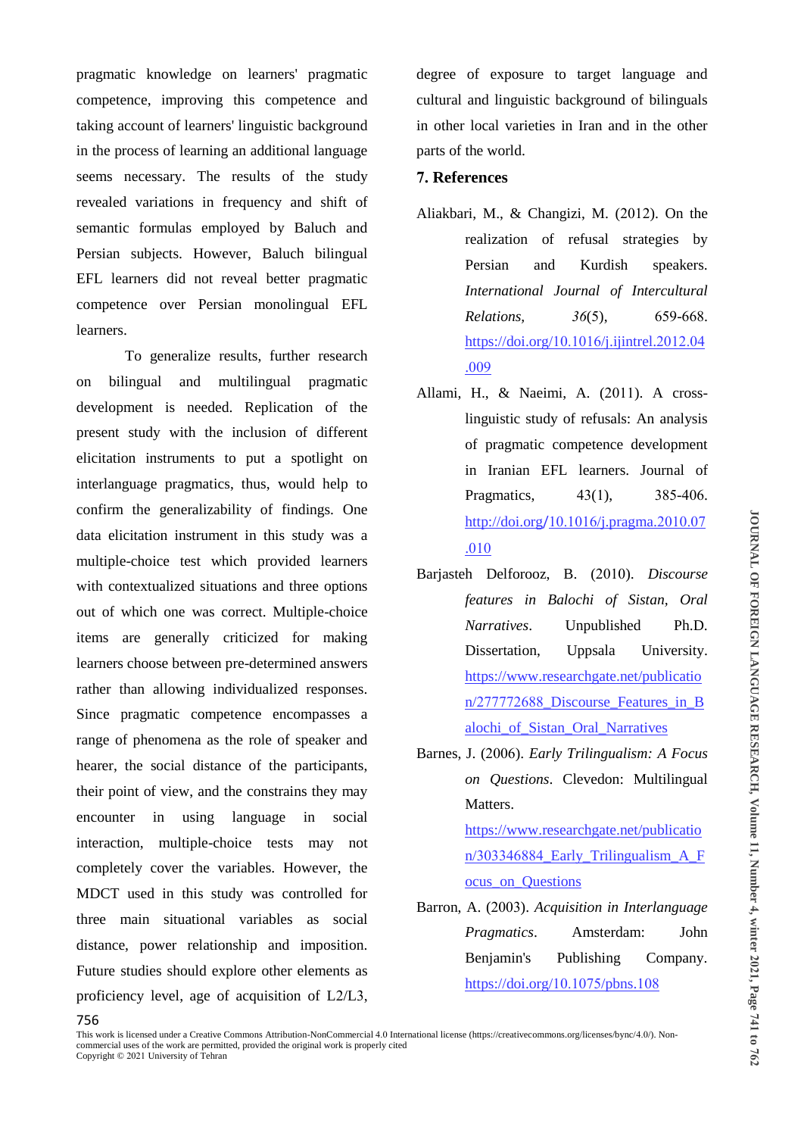pragmatic knowledge on learners' pragmatic competence, improving this competence and taking account of learners' linguistic background in the process of learning an additional language seems necessary. The results of the study revealed variations in frequency and shift of semantic formulas employed by Baluch and Persian subjects. However, Baluch bilingual EFL learners did not reveal better pragmatic competence over Persian monolingual EFL learners.

To generalize results, further research on bilingual and multilingual pragmatic development is needed. Replication of the present study with the inclusion of different elicitation instruments to put a spotlight on interlanguage pragmatics, thus, would help to confirm the generalizability of findings. One data elicitation instrument in this study was a multiple-choice test which provided learners with contextualized situations and three options out of which one was correct. Multiple-choice items are generally criticized for making learners choose between pre-determined answers rather than allowing individualized responses. Since pragmatic competence encompasses a range of phenomena as the role of speaker and hearer, the social distance of the participants, their point of view, and the constrains they may encounter in using language in social interaction, multiple-choice tests may not completely cover the variables. However, the MDCT used in this study was controlled for three main situational variables as social distance, power relationship and imposition. Future studies should explore other elements as proficiency level, age of acquisition of L2/L3,

degree of exposure to target language and cultural and linguistic background of bilinguals in other local varieties in Iran and in the other parts of the world.

# **7. References**

- Aliakbari, M., & Changizi, M. (2012). On the realization of refusal strategies by Persian and Kurdish speakers. *International Journal of Intercultural Relations, 36*(5), 659-668. https://doi.org/10.1016/j.ijintrel.2012.04 .009
- Allami, H., & Naeimi, A. (2011). A crosslinguistic study of refusals: An analysis of pragmatic competence development in Iranian EFL learners. Journal of Pragmatics, 43(1), 385-406. http://doi.org/10.1016/j.pragma.2010.07 .010
- Barjasteh Delforooz, B. (2010). *Discourse features in Balochi of Sistan, Oral Narratives*. Unpublished Ph.D. Dissertation, Uppsala University. https://www.researchgate.net/publicatio n/277772688 Discourse Features in B alochi\_of\_Sistan\_Oral\_Narratives
- Barnes, J. (2006). *Early Trilingualism: A Focus on Questions*. Clevedon: Multilingual Matters. https://www.researchgate.net/publicatio

n/303346884\_Early\_Trilingualism\_A\_F ocus\_on\_Questions

Barron, A. (2003). *Acquisition in Interlanguage Pragmatics*. Amsterdam: John Benjamin's Publishing Company. https://doi.org/10.1075/pbns.108

This work is licensed under a Creative Commons Attribution-NonCommercial 4.0 International license (https://creativecommons.org/licenses/bync/4.0/). Noncommercial uses of the work are permitted, provided the original work is properly cited Copyright © 2021 University of Tehran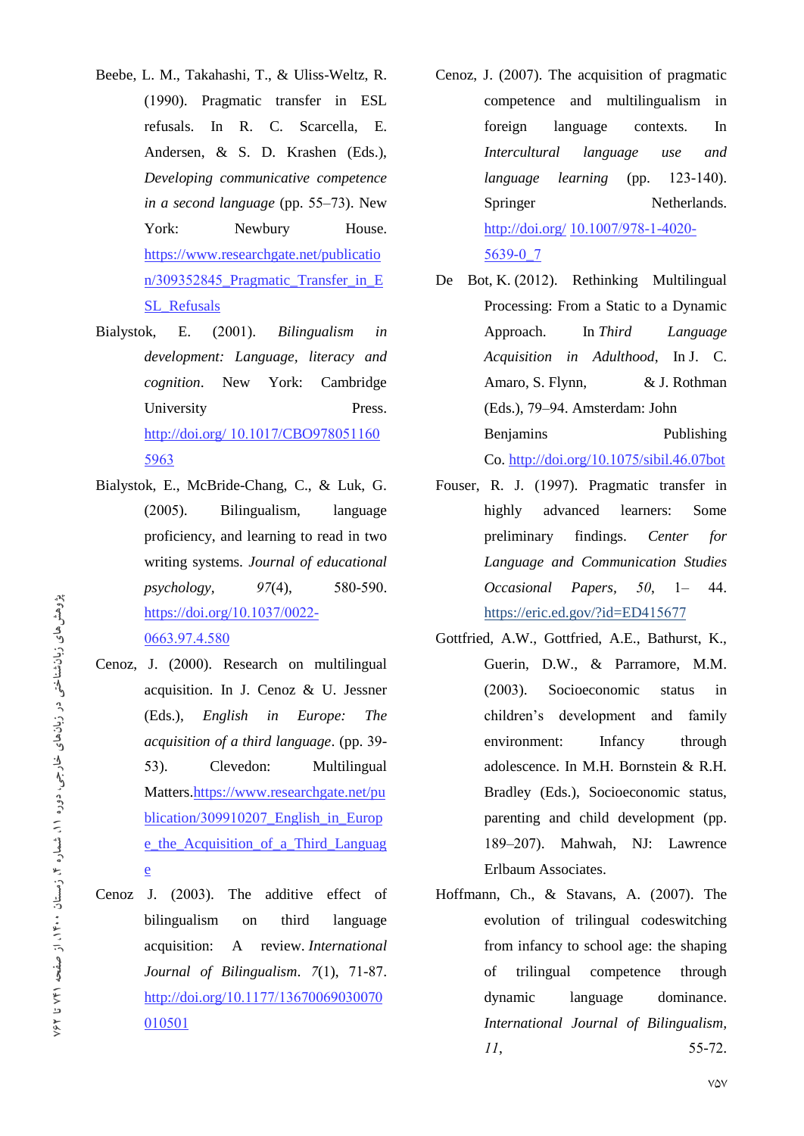- Beebe, L. M., Takahashi, T., & Uliss-Weltz, R. (1990). Pragmatic transfer in ESL refusals. In R. C. Scarcella, E. Andersen, & S. D. Krashen (Eds.), *Developing communicative competence in a second language* (pp. 55–73). New York: Newbury House. https://www.researchgate.net/publicatio n/309352845 Pragmatic Transfer in E SL\_Refusals
- Bialystok, E. (2001). *Bilingualism in development: Language, literacy and cognition*. New York: Cambridge University Press. http://doi.org/ 10.1017/CBO978051160 5963
- Bialystok, E., McBride-Chang, C., & Luk, G. (2005). Bilingualism, language proficiency, and learning to read in two writing systems. *Journal of educational psychology, 97*(4), 580-590. https://doi.org/10.1037/0022- 0663.97.4.580
- Cenoz, J. (2000). Research on multilingual acquisition. In J. Cenoz & U. Jessner (Eds.), *English in Europe: The acquisition of a third language*. (pp. 39- 53). Clevedon: Multilingual Matters.https://www.researchgate.net/pu blication/309910207\_English\_in\_Europ e\_the\_Acquisition\_of\_a\_Third\_Languag e
- Cenoz J. (2003). The additive effect of bilingualism on third language acquisition: A review. *International Journal of Bilingualism*. *7*(1), 71-87. http://doi.org/10.1177/13670069030070 010501
- Cenoz, J. (2007). The acquisition of pragmatic competence and multilingualism in foreign language contexts. In *Intercultural language use and language learning* (pp. 123-140). Springer Netherlands. http://doi.org/ 10.1007/978-1-4020- 5639-0\_7
- De Bot, K. (2012). Rethinking Multilingual Processing: From a Static to a Dynamic Approach. In *Third Language Acquisition in Adulthood*, In J. C. Amaro, S. Flynn, & J. Rothman (Eds.), 79–94. Amsterdam: John Benjamins Publishing Co. http://doi.org/10.1075/sibil.46.07bot
- Fouser, R. J. (1997). Pragmatic transfer in highly advanced learners: Some preliminary findings. *Center for Language and Communication Studies Occasional Papers, 50*, 1– 44. https://eric.ed.gov/?id=ED415677
- Gottfried, A.W., Gottfried, A.E., Bathurst, K., Guerin, D.W., & Parramore, M.M. (2003). Socioeconomic status in children's development and family environment: Infancy through adolescence. In M.H. Bornstein & R.H. Bradley (Eds.), Socioeconomic status, parenting and child development (pp. 189–207). Mahwah, NJ: Lawrence Erlbaum Associates.
- Hoffmann, Ch., & Stavans, A. (2007). The evolution of trilingual codeswitching from infancy to school age: the shaping of trilingual competence through dynamic language dominance. *International Journal of Bilingualism, 11*, 55-72.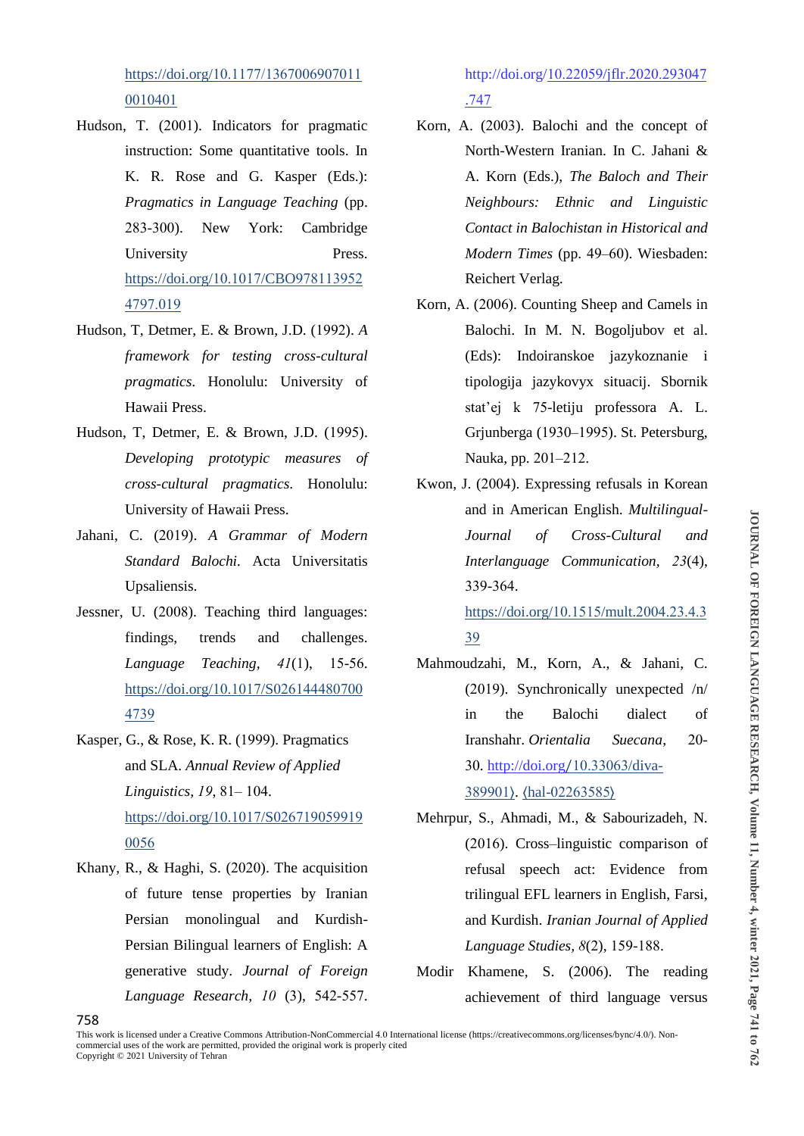https://doi.org/10.1177/1367006907011 0010401

- Hudson, T. (2001). Indicators for pragmatic instruction: Some quantitative tools. In K. R. Rose and G. Kasper (Eds.): *Pragmatics in Language Teaching* (pp. 283-300). New York: Cambridge University Press. https://doi.org/10.1017/CBO978113952 4797.019
- Hudson, T, Detmer, E. & Brown, J.D. (1992). *A framework for testing cross-cultural pragmatics*. Honolulu: University of Hawaii Press.
- Hudson, T, Detmer, E. & Brown, J.D. (1995). *Developing prototypic measures of cross-cultural pragmatics*. Honolulu: University of Hawaii Press.
- Jahani, C. (2019). *A Grammar of Modern Standard Balochi.* Acta Universitatis Upsaliensis.
- Jessner, U. (2008). Teaching third languages: findings, trends and challenges. *Language Teaching, 41*(1), 15-56. https://doi.org/10.1017/S026144480700 4739
- Kasper, G., & Rose, K. R. (1999). Pragmatics and SLA. *Annual Review of Applied Linguistics, 19*, 81– 104. https://doi.org/10.1017/S026719059919 0056
- Khany, R., & Haghi, S. (2020). The acquisition of future tense properties by Iranian Persian monolingual and Kurdish-Persian Bilingual learners of English: A generative study. *Journal of Foreign Language Research, 10* (3), 542-557.

http://doi.org/10.22059/jflr.2020.293047 .747

- Korn, A. (2003). Balochi and the concept of North-Western Iranian. In C. Jahani & A. Korn (Eds.), *The Baloch and Their Neighbours: Ethnic and Linguistic Contact in Balochistan in Historical and Modern Times* (pp. 49–60). Wiesbaden: Reichert Verlag.
- Korn, A. (2006). Counting Sheep and Camels in Balochi. In M. N. Bogoljubov et al. (Eds): Indoiranskoe jazykoznanie i tipologija jazykovyx situacij. Sbornik stat'ej k 75-letiju professora A. L. Grjunberga (1930–1995). St. Petersburg, Nauka, pp. 201–212.
- Kwon, J. (2004). Expressing refusals in Korean and in American English. *Multilingual-Journal of Cross-Cultural and Interlanguage Communication, 23*(4), 339-364.

https://doi.org/10.1515/mult.2004.23.4.3 39

- Mahmoudzahi, M., Korn, A., & Jahani, C. (2019). Synchronically unexpected /n/ in the Balochi dialect of Iranshahr. *Orientalia Suecana*, 20- 30. http://doi.org/10.33063/diva-389901⟩. ⟨hal-02263585⟩
- Mehrpur, S., Ahmadi, M., & Sabourizadeh, N. (2016). Cross–linguistic comparison of refusal speech act: Evidence from trilingual EFL learners in English, Farsi, and Kurdish. *Iranian Journal of Applied Language Studies, 8*(2), 159-188.
- Modir Khamene, S. (2006). The reading achievement of third language versus

This work is licensed under a Creative Commons Attribution-NonCommercial 4.0 International license (https://creativecommons.org/licenses/bync/4.0/). Noncommercial uses of the work are permitted, provided the original work is properly cited Copyright © 2021 University of Tehran